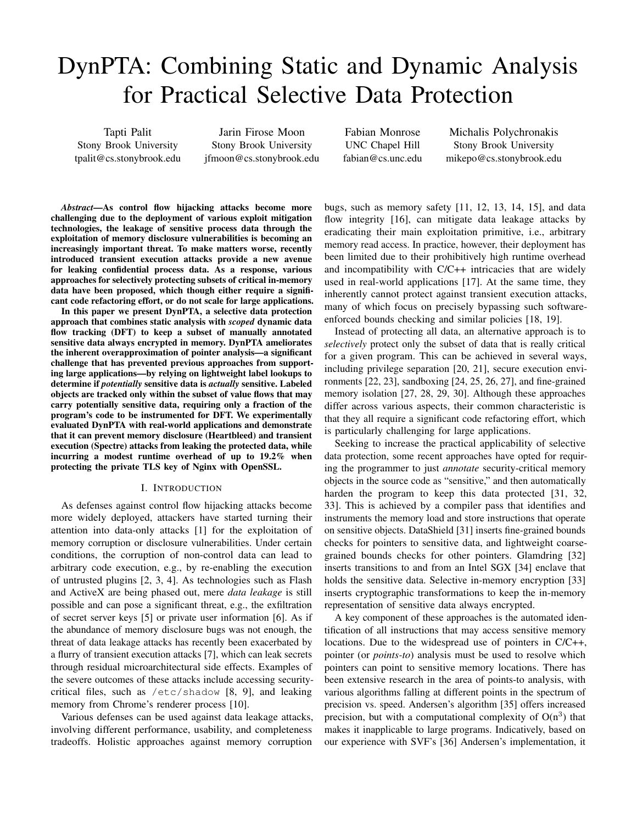# DynPTA: Combining Static and Dynamic Analysis for Practical Selective Data Protection

Tapti Palit Stony Brook University tpalit@cs.stonybrook.edu

Jarin Firose Moon Stony Brook University jfmoon@cs.stonybrook.edu Fabian Monrose UNC Chapel Hill fabian@cs.unc.edu

Michalis Polychronakis Stony Brook University mikepo@cs.stonybrook.edu

*Abstract*—As control flow hijacking attacks become more challenging due to the deployment of various exploit mitigation technologies, the leakage of sensitive process data through the exploitation of memory disclosure vulnerabilities is becoming an increasingly important threat. To make matters worse, recently introduced transient execution attacks provide a new avenue for leaking confidential process data. As a response, various approaches for selectively protecting subsets of critical in-memory data have been proposed, which though either require a significant code refactoring effort, or do not scale for large applications.

In this paper we present DynPTA, a selective data protection approach that combines static analysis with *scoped* dynamic data flow tracking (DFT) to keep a subset of manually annotated sensitive data always encrypted in memory. DynPTA ameliorates the inherent overapproximation of pointer analysis—a significant challenge that has prevented previous approaches from supporting large applications—by relying on lightweight label lookups to determine if *potentially* sensitive data is *actually* sensitive. Labeled objects are tracked only within the subset of value flows that may carry potentially sensitive data, requiring only a fraction of the program's code to be instrumented for DFT. We experimentally evaluated DynPTA with real-world applications and demonstrate that it can prevent memory disclosure (Heartbleed) and transient execution (Spectre) attacks from leaking the protected data, while incurring a modest runtime overhead of up to 19.2% when protecting the private TLS key of Nginx with OpenSSL.

#### I. INTRODUCTION

As defenses against control flow hijacking attacks become more widely deployed, attackers have started turning their attention into data-only attacks [\[1\]](#page-13-0) for the exploitation of memory corruption or disclosure vulnerabilities. Under certain conditions, the corruption of non-control data can lead to arbitrary code execution, e.g., by re-enabling the execution of untrusted plugins [\[2,](#page-13-1) [3,](#page-13-2) [4\]](#page-13-3). As technologies such as Flash and ActiveX are being phased out, mere *data leakage* is still possible and can pose a significant threat, e.g., the exfiltration of secret server keys [\[5\]](#page-13-4) or private user information [\[6\]](#page-13-5). As if the abundance of memory disclosure bugs was not enough, the threat of data leakage attacks has recently been exacerbated by a flurry of transient execution attacks [\[7\]](#page-13-6), which can leak secrets through residual microarchitectural side effects. Examples of the severe outcomes of these attacks include accessing securitycritical files, such as /etc/shadow [\[8,](#page-13-7) [9\]](#page-13-8), and leaking memory from Chrome's renderer process [\[10\]](#page-13-9).

Various defenses can be used against data leakage attacks, involving different performance, usability, and completeness tradeoffs. Holistic approaches against memory corruption

bugs, such as memory safety [\[11,](#page-13-10) [12,](#page-13-11) [13,](#page-13-12) [14,](#page-13-13) [15\]](#page-13-14), and data flow integrity [\[16\]](#page-13-15), can mitigate data leakage attacks by eradicating their main exploitation primitive, i.e., arbitrary memory read access. In practice, however, their deployment has been limited due to their prohibitively high runtime overhead and incompatibility with C/C++ intricacies that are widely used in real-world applications [\[17\]](#page-13-16). At the same time, they inherently cannot protect against transient execution attacks, many of which focus on precisely bypassing such softwareenforced bounds checking and similar policies [\[18,](#page-13-17) [19\]](#page-13-18).

Instead of protecting all data, an alternative approach is to *selectively* protect only the subset of data that is really critical for a given program. This can be achieved in several ways, including privilege separation [\[20,](#page-13-19) [21\]](#page-13-20), secure execution environments [\[22,](#page-13-21) [23\]](#page-13-22), sandboxing [\[24,](#page-13-23) [25,](#page-13-24) [26,](#page-13-25) [27\]](#page-13-26), and fine-grained memory isolation [\[27,](#page-13-26) [28,](#page-13-27) [29,](#page-13-28) [30\]](#page-13-29). Although these approaches differ across various aspects, their common characteristic is that they all require a significant code refactoring effort, which is particularly challenging for large applications.

Seeking to increase the practical applicability of selective data protection, some recent approaches have opted for requiring the programmer to just *annotate* security-critical memory objects in the source code as "sensitive," and then automatically harden the program to keep this data protected [\[31,](#page-13-30) [32,](#page-13-31) [33\]](#page-13-32). This is achieved by a compiler pass that identifies and instruments the memory load and store instructions that operate on sensitive objects. DataShield [\[31\]](#page-13-30) inserts fine-grained bounds checks for pointers to sensitive data, and lightweight coarsegrained bounds checks for other pointers. Glamdring [\[32\]](#page-13-31) inserts transitions to and from an Intel SGX [\[34\]](#page-13-33) enclave that holds the sensitive data. Selective in-memory encryption [\[33\]](#page-13-32) inserts cryptographic transformations to keep the in-memory representation of sensitive data always encrypted.

A key component of these approaches is the automated identification of all instructions that may access sensitive memory locations. Due to the widespread use of pointers in C/C++, pointer (or *points-to*) analysis must be used to resolve which pointers can point to sensitive memory locations. There has been extensive research in the area of points-to analysis, with various algorithms falling at different points in the spectrum of precision vs. speed. Andersen's algorithm [\[35\]](#page-13-34) offers increased precision, but with a computational complexity of  $O(n^3)$  that makes it inapplicable to large programs. Indicatively, based on our experience with SVF's [\[36\]](#page-13-35) Andersen's implementation, it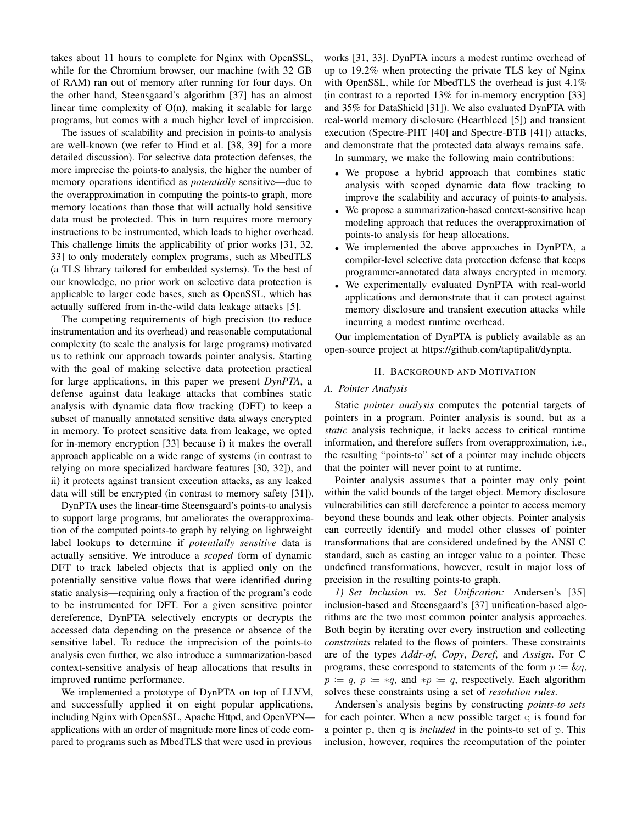takes about 11 hours to complete for Nginx with OpenSSL, while for the Chromium browser, our machine (with 32 GB of RAM) ran out of memory after running for four days. On the other hand, Steensgaard's algorithm [\[37\]](#page-13-36) has an almost linear time complexity of O(n), making it scalable for large programs, but comes with a much higher level of imprecision.

The issues of scalability and precision in points-to analysis are well-known (we refer to Hind et al. [\[38,](#page-13-37) [39\]](#page-13-38) for a more detailed discussion). For selective data protection defenses, the more imprecise the points-to analysis, the higher the number of memory operations identified as *potentially* sensitive—due to the overapproximation in computing the points-to graph, more memory locations than those that will actually hold sensitive data must be protected. This in turn requires more memory instructions to be instrumented, which leads to higher overhead. This challenge limits the applicability of prior works [\[31,](#page-13-30) [32,](#page-13-31) [33\]](#page-13-32) to only moderately complex programs, such as MbedTLS (a TLS library tailored for embedded systems). To the best of our knowledge, no prior work on selective data protection is applicable to larger code bases, such as OpenSSL, which has actually suffered from in-the-wild data leakage attacks [\[5\]](#page-13-4).

The competing requirements of high precision (to reduce instrumentation and its overhead) and reasonable computational complexity (to scale the analysis for large programs) motivated us to rethink our approach towards pointer analysis. Starting with the goal of making selective data protection practical for large applications, in this paper we present *DynPTA*, a defense against data leakage attacks that combines static analysis with dynamic data flow tracking (DFT) to keep a subset of manually annotated sensitive data always encrypted in memory. To protect sensitive data from leakage, we opted for in-memory encryption [\[33\]](#page-13-32) because i) it makes the overall approach applicable on a wide range of systems (in contrast to relying on more specialized hardware features [\[30,](#page-13-29) [32\]](#page-13-31)), and ii) it protects against transient execution attacks, as any leaked data will still be encrypted (in contrast to memory safety [\[31\]](#page-13-30)).

DynPTA uses the linear-time Steensgaard's points-to analysis to support large programs, but ameliorates the overapproximation of the computed points-to graph by relying on lightweight label lookups to determine if *potentially sensitive* data is actually sensitive. We introduce a *scoped* form of dynamic DFT to track labeled objects that is applied only on the potentially sensitive value flows that were identified during static analysis—requiring only a fraction of the program's code to be instrumented for DFT. For a given sensitive pointer dereference, DynPTA selectively encrypts or decrypts the accessed data depending on the presence or absence of the sensitive label. To reduce the imprecision of the points-to analysis even further, we also introduce a summarization-based context-sensitive analysis of heap allocations that results in improved runtime performance.

We implemented a prototype of DynPTA on top of LLVM, and successfully applied it on eight popular applications, including Nginx with OpenSSL, Apache Httpd, and OpenVPN applications with an order of magnitude more lines of code compared to programs such as MbedTLS that were used in previous

works [\[31,](#page-13-30) [33\]](#page-13-32). DynPTA incurs a modest runtime overhead of up to 19.2% when protecting the private TLS key of Nginx with OpenSSL, while for MbedTLS the overhead is just 4.1% (in contrast to a reported 13% for in-memory encryption [\[33\]](#page-13-32) and 35% for DataShield [\[31\]](#page-13-30)). We also evaluated DynPTA with real-world memory disclosure (Heartbleed [\[5\]](#page-13-4)) and transient execution (Spectre-PHT [\[40\]](#page-13-39) and Spectre-BTB [\[41\]](#page-13-40)) attacks, and demonstrate that the protected data always remains safe.

In summary, we make the following main contributions:

- We propose a hybrid approach that combines static analysis with scoped dynamic data flow tracking to improve the scalability and accuracy of points-to analysis.
- We propose a summarization-based context-sensitive heap modeling approach that reduces the overapproximation of points-to analysis for heap allocations.
- We implemented the above approaches in DynPTA, a compiler-level selective data protection defense that keeps programmer-annotated data always encrypted in memory.
- We experimentally evaluated DynPTA with real-world applications and demonstrate that it can protect against memory disclosure and transient execution attacks while incurring a modest runtime overhead.

Our implementation of DynPTA is publicly available as an open-source project at https://github.[com/taptipalit/dynpta.](https://github.com/taptipalit/dynpta)

# II. BACKGROUND AND MOTIVATION

#### *A. Pointer Analysis*

Static *pointer analysis* computes the potential targets of pointers in a program. Pointer analysis is sound, but as a *static* analysis technique, it lacks access to critical runtime information, and therefore suffers from overapproximation, i.e., the resulting "points-to" set of a pointer may include objects that the pointer will never point to at runtime.

Pointer analysis assumes that a pointer may only point within the valid bounds of the target object. Memory disclosure vulnerabilities can still dereference a pointer to access memory beyond these bounds and leak other objects. Pointer analysis can correctly identify and model other classes of pointer transformations that are considered undefined by the ANSI C standard, such as casting an integer value to a pointer. These undefined transformations, however, result in major loss of precision in the resulting points-to graph.

<span id="page-1-0"></span>*1) Set Inclusion vs. Set Unification:* Andersen's [\[35\]](#page-13-34) inclusion-based and Steensgaard's [\[37\]](#page-13-36) unification-based algorithms are the two most common pointer analysis approaches. Both begin by iterating over every instruction and collecting *constraints* related to the flows of pointers. These constraints are of the types *Addr-of*, *Copy*, *Deref*, and *Assign*. For C programs, these correspond to statements of the form  $p := \&q,$  $p := q$ ,  $p := *q$ , and  $*p := q$ , respectively. Each algorithm solves these constraints using a set of *resolution rules*.

Andersen's analysis begins by constructing *points-to sets* for each pointer. When a new possible target  $\sigma$  is found for a pointer p, then q is *included* in the points-to set of p. This inclusion, however, requires the recomputation of the pointer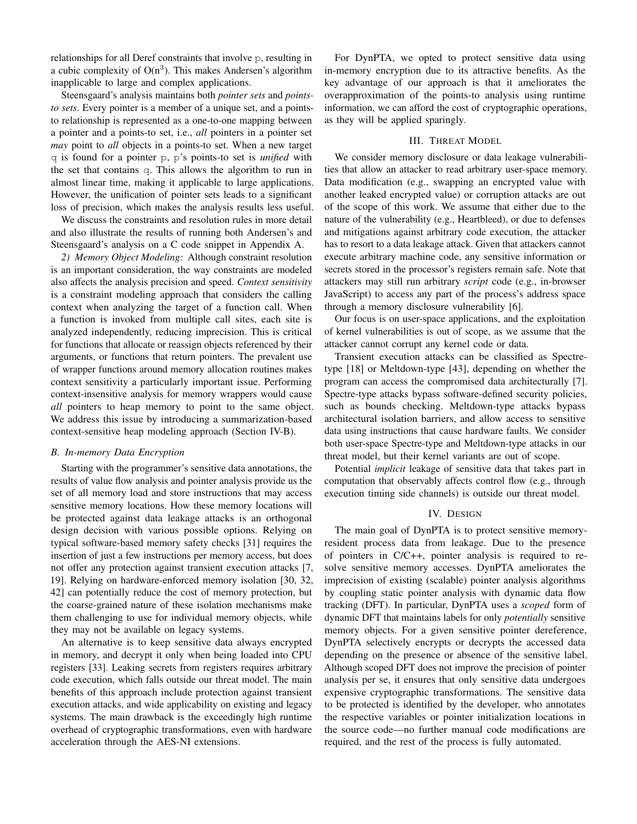relationships for all Deref constraints that involve p, resulting in a cubic complexity of  $O(n^3)$ . This makes Andersen's algorithm inapplicable to large and complex applications.

Steensgaard's analysis maintains both *pointer sets* and *pointsto sets*. Every pointer is a member of a unique set, and a pointsto relationship is represented as a one-to-one mapping between a pointer and a points-to set, i.e., *all* pointers in a pointer set *may* point to *all* objects in a points-to set. When a new target q is found for a pointer p, p's points-to set is *unified* with the set that contains q. This allows the algorithm to run in almost linear time, making it applicable to large applications. However, the unification of pointer sets leads to a significant loss of precision, which makes the analysis results less useful.

We discuss the constraints and resolution rules in more detail and also illustrate the results of running both Andersen's and Steensgaard's analysis on a C code snippet in Appendix [A.](#page-15-0)

<span id="page-2-0"></span>*2) Memory Object Modeling:* Although constraint resolution is an important consideration, the way constraints are modeled also affects the analysis precision and speed. *Context sensitivity* is a constraint modeling approach that considers the calling context when analyzing the target of a function call. When a function is invoked from multiple call sites, each site is analyzed independently, reducing imprecision. This is critical for functions that allocate or reassign objects referenced by their arguments, or functions that return pointers. The prevalent use of wrapper functions around memory allocation routines makes context sensitivity a particularly important issue. Performing context-insensitive analysis for memory wrappers would cause *all* pointers to heap memory to point to the same object. We address this issue by introducing a summarization-based context-sensitive heap modeling approach (Section [IV-B\)](#page-4-0).

#### *B. In-memory Data Encryption*

Starting with the programmer's sensitive data annotations, the results of value flow analysis and pointer analysis provide us the set of all memory load and store instructions that may access sensitive memory locations. How these memory locations will be protected against data leakage attacks is an orthogonal design decision with various possible options. Relying on typical software-based memory safety checks [\[31\]](#page-13-30) requires the insertion of just a few instructions per memory access, but does not offer any protection against transient execution attacks [\[7,](#page-13-6) [19\]](#page-13-18). Relying on hardware-enforced memory isolation [\[30,](#page-13-29) [32,](#page-13-31) [42\]](#page-13-41) can potentially reduce the cost of memory protection, but the coarse-grained nature of these isolation mechanisms make them challenging to use for individual memory objects, while they may not be available on legacy systems.

An alternative is to keep sensitive data always encrypted in memory, and decrypt it only when being loaded into CPU registers [\[33\]](#page-13-32). Leaking secrets from registers requires arbitrary code execution, which falls outside our threat model. The main benefits of this approach include protection against transient execution attacks, and wide applicability on existing and legacy systems. The main drawback is the exceedingly high runtime overhead of cryptographic transformations, even with hardware acceleration through the AES-NI extensions.

For DynPTA, we opted to protect sensitive data using in-memory encryption due to its attractive benefits. As the key advantage of our approach is that it ameliorates the overapproximation of the points-to analysis using runtime information, we can afford the cost of cryptographic operations, as they will be applied sparingly.

# III. THREAT MODEL

We consider memory disclosure or data leakage vulnerabilities that allow an attacker to read arbitrary user-space memory. Data modification (e.g., swapping an encrypted value with another leaked encrypted value) or corruption attacks are out of the scope of this work. We assume that either due to the nature of the vulnerability (e.g., Heartbleed), or due to defenses and mitigations against arbitrary code execution, the attacker has to resort to a data leakage attack. Given that attackers cannot execute arbitrary machine code, any sensitive information or secrets stored in the processor's registers remain safe. Note that attackers may still run arbitrary *script* code (e.g., in-browser JavaScript) to access any part of the process's address space through a memory disclosure vulnerability [\[6\]](#page-13-5).

Our focus is on user-space applications, and the exploitation of kernel vulnerabilities is out of scope, as we assume that the attacker cannot corrupt any kernel code or data.

Transient execution attacks can be classified as Spectretype [\[18\]](#page-13-17) or Meltdown-type [\[43\]](#page-13-42), depending on whether the program can access the compromised data architecturally [\[7\]](#page-13-6). Spectre-type attacks bypass software-defined security policies, such as bounds checking. Meltdown-type attacks bypass architectural isolation barriers, and allow access to sensitive data using instructions that cause hardware faults. We consider both user-space Spectre-type and Meltdown-type attacks in our threat model, but their kernel variants are out of scope.

Potential *implicit* leakage of sensitive data that takes part in computation that observably affects control flow (e.g., through execution timing side channels) is outside our threat model.

# IV. DESIGN

The main goal of DynPTA is to protect sensitive memoryresident process data from leakage. Due to the presence of pointers in C/C++, pointer analysis is required to resolve sensitive memory accesses. DynPTA ameliorates the imprecision of existing (scalable) pointer analysis algorithms by coupling static pointer analysis with dynamic data flow tracking (DFT). In particular, DynPTA uses a *scoped* form of dynamic DFT that maintains labels for only *potentially* sensitive memory objects. For a given sensitive pointer dereference, DynPTA selectively encrypts or decrypts the accessed data depending on the presence or absence of the sensitive label. Although scoped DFT does not improve the precision of pointer analysis per se, it ensures that only sensitive data undergoes expensive cryptographic transformations. The sensitive data to be protected is identified by the developer, who annotates the respective variables or pointer initialization locations in the source code—no further manual code modifications are required, and the rest of the process is fully automated.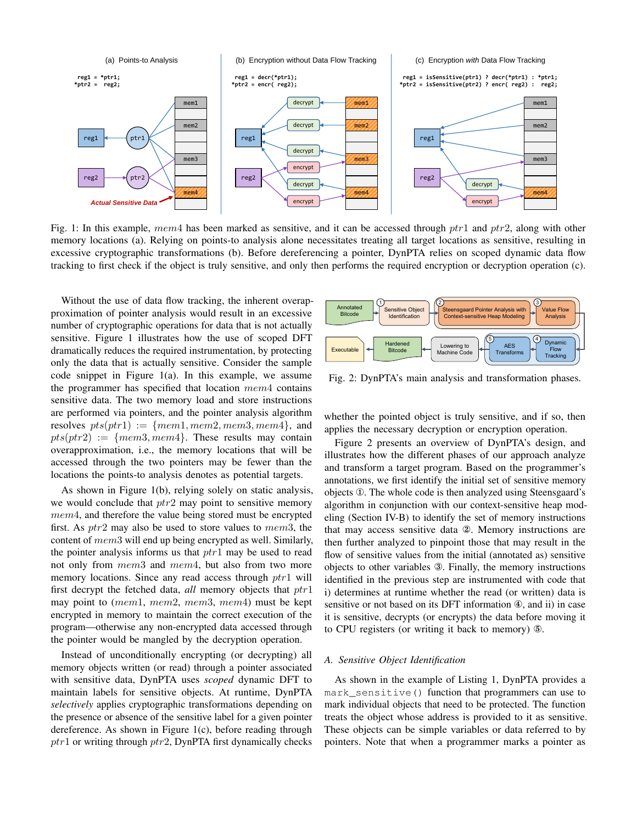<span id="page-3-0"></span>

Fig. 1: In this example, mem4 has been marked as sensitive, and it can be accessed through ptr1 and ptr2, along with other memory locations (a). Relying on points-to analysis alone necessitates treating all target locations as sensitive, resulting in excessive cryptographic transformations (b). Before dereferencing a pointer, DynPTA relies on scoped dynamic data flow tracking to first check if the object is truly sensitive, and only then performs the required encryption or decryption operation (c).

Without the use of data flow tracking, the inherent overapproximation of pointer analysis would result in an excessive number of cryptographic operations for data that is not actually sensitive. Figure [1](#page-3-0) illustrates how the use of scoped DFT dramatically reduces the required instrumentation, by protecting only the data that is actually sensitive. Consider the sample code snippet in Figure [1\(](#page-3-0)a). In this example, we assume the programmer has specified that location  $mem4$  contains sensitive data. The two memory load and store instructions are performed via pointers, and the pointer analysis algorithm resolves  $pts(ptr1) := \{mem1, mem2, mem3, mem4\}$ , and  $pts(ptr2) := \{mem3, mem4\}.$  These results may contain overapproximation, i.e., the memory locations that will be accessed through the two pointers may be fewer than the locations the points-to analysis denotes as potential targets.

As shown in Figure [1\(](#page-3-0)b), relying solely on static analysis, we would conclude that  $ptr2$  may point to sensitive memory mem4, and therefore the value being stored must be encrypted first. As  $ptr2$  may also be used to store values to mem3, the content of mem3 will end up being encrypted as well. Similarly, the pointer analysis informs us that  $ptr1$  may be used to read not only from mem3 and mem4, but also from two more memory locations. Since any read access through  $ptr1$  will first decrypt the fetched data, *all* memory objects that ptr1 may point to (mem1, mem2, mem3, mem4) must be kept encrypted in memory to maintain the correct execution of the program—otherwise any non-encrypted data accessed through the pointer would be mangled by the decryption operation.

Instead of unconditionally encrypting (or decrypting) all memory objects written (or read) through a pointer associated with sensitive data, DynPTA uses *scoped* dynamic DFT to maintain labels for sensitive objects. At runtime, DynPTA *selectively* applies cryptographic transformations depending on the presence or absence of the sensitive label for a given pointer dereference. As shown in Figure [1\(](#page-3-0)c), before reading through  $ptr1$  or writing through  $ptr2$ , DynPTA first dynamically checks

<span id="page-3-1"></span>

Fig. 2: DynPTA's main analysis and transformation phases.

whether the pointed object is truly sensitive, and if so, then applies the necessary decryption or encryption operation.

Figure [2](#page-3-1) presents an overview of DynPTA's design, and illustrates how the different phases of our approach analyze and transform a target program. Based on the programmer's annotations, we first identify the initial set of sensitive memory objects ①. The whole code is then analyzed using Steensgaard's algorithm in conjunction with our context-sensitive heap modeling (Section [IV-B\)](#page-4-0) to identify the set of memory instructions that may access sensitive data ②. Memory instructions are then further analyzed to pinpoint those that may result in the flow of sensitive values from the initial (annotated as) sensitive objects to other variables ③. Finally, the memory instructions identified in the previous step are instrumented with code that i) determines at runtime whether the read (or written) data is sensitive or not based on its DFT information ④, and ii) in case it is sensitive, decrypts (or encrypts) the data before moving it to CPU registers (or writing it back to memory) ⑤.

# *A. Sensitive Object Identification*

As shown in the example of Listing [1,](#page-4-1) DynPTA provides a mark\_sensitive() function that programmers can use to mark individual objects that need to be protected. The function treats the object whose address is provided to it as sensitive. These objects can be simple variables or data referred to by pointers. Note that when a programmer marks a pointer as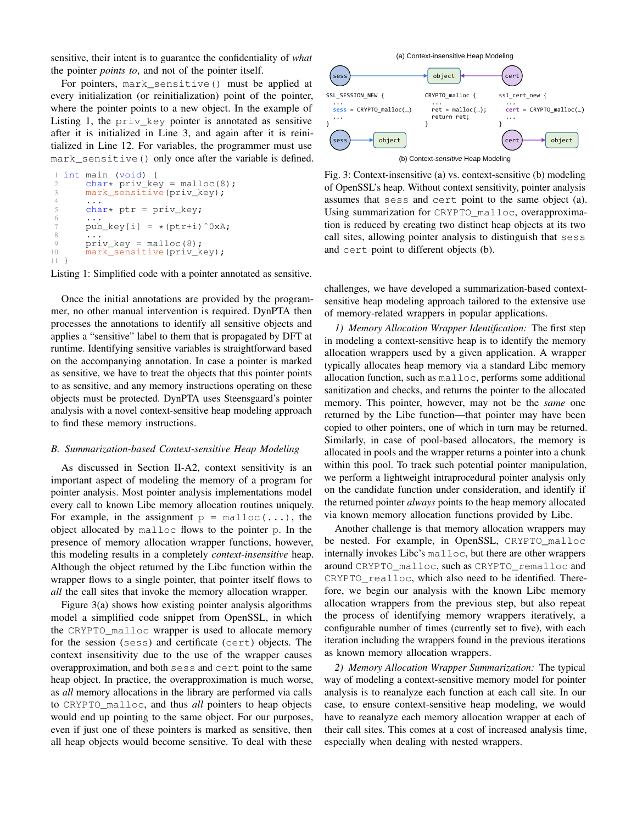sensitive, their intent is to guarantee the confidentiality of *what* the pointer *points to*, and not of the pointer itself.

For pointers, mark\_sensitive() must be applied at every initialization (or reinitialization) point of the pointer, where the pointer points to a new object. In the example of Listing [1,](#page-4-1) the priv\_key pointer is annotated as sensitive after it is initialized in Line 3, and again after it is reinitialized in Line 12. For variables, the programmer must use mark sensitive() only once after the variable is defined.

```
int main (void) {
2 char* priv\_key = malloc(8);<br>3 mark sensitive (priv kev):
       mark_sensitive(priv_key);
 4 ...
5 char* ptr = priv_key;
 6 \qquad \qquad \bullet \bullet \bullet7 pub_key[i] = *(ptr+i)^0xA;
 8 ...
9 priv\_key = malloc(8);10 mark_sensitive(priv_key);
11 }
```
Listing 1: Simplified code with a pointer annotated as sensitive.

Once the initial annotations are provided by the programmer, no other manual intervention is required. DynPTA then processes the annotations to identify all sensitive objects and applies a "sensitive" label to them that is propagated by DFT at runtime. Identifying sensitive variables is straightforward based on the accompanying annotation. In case a pointer is marked as sensitive, we have to treat the objects that this pointer points to as sensitive, and any memory instructions operating on these objects must be protected. DynPTA uses Steensgaard's pointer analysis with a novel context-sensitive heap modeling approach to find these memory instructions.

#### <span id="page-4-0"></span>*B. Summarization-based Context-sensitive Heap Modeling*

As discussed in Section [II-A2,](#page-2-0) context sensitivity is an important aspect of modeling the memory of a program for pointer analysis. Most pointer analysis implementations model every call to known Libc memory allocation routines uniquely. For example, in the assignment  $p = \text{malloc}(\ldots)$ , the object allocated by malloc flows to the pointer p. In the presence of memory allocation wrapper functions, however, this modeling results in a completely *context-insensitive* heap. Although the object returned by the Libc function within the wrapper flows to a single pointer, that pointer itself flows to *all* the call sites that invoke the memory allocation wrapper.

Figure [3\(](#page-4-2)a) shows how existing pointer analysis algorithms model a simplified code snippet from OpenSSL, in which the CRYPTO\_malloc wrapper is used to allocate memory for the session (sess) and certificate (cert) objects. The context insensitivity due to the use of the wrapper causes overapproximation, and both sess and cert point to the same heap object. In practice, the overapproximation is much worse, as *all* memory allocations in the library are performed via calls to CRYPTO\_malloc, and thus *all* pointers to heap objects would end up pointing to the same object. For our purposes, even if just one of these pointers is marked as sensitive, then all heap objects would become sensitive. To deal with these

<span id="page-4-2"></span>

(b) Context-*sensitive* Heap Modeling

Fig. 3: Context-insensitive (a) vs. context-sensitive (b) modeling of OpenSSL's heap. Without context sensitivity, pointer analysis assumes that sess and cert point to the same object (a). Using summarization for CRYPTO\_malloc, overapproximation is reduced by creating two distinct heap objects at its two call sites, allowing pointer analysis to distinguish that sess and cert point to different objects (b).

challenges, we have developed a summarization-based contextsensitive heap modeling approach tailored to the extensive use of memory-related wrappers in popular applications.

<span id="page-4-3"></span>*1) Memory Allocation Wrapper Identification:* The first step in modeling a context-sensitive heap is to identify the memory allocation wrappers used by a given application. A wrapper typically allocates heap memory via a standard Libc memory allocation function, such as malloc, performs some additional sanitization and checks, and returns the pointer to the allocated memory. This pointer, however, may not be the *same* one returned by the Libc function—that pointer may have been copied to other pointers, one of which in turn may be returned. Similarly, in case of pool-based allocators, the memory is allocated in pools and the wrapper returns a pointer into a chunk within this pool. To track such potential pointer manipulation, we perform a lightweight intraprocedural pointer analysis only on the candidate function under consideration, and identify if the returned pointer *always* points to the heap memory allocated via known memory allocation functions provided by Libc.

Another challenge is that memory allocation wrappers may be nested. For example, in OpenSSL, CRYPTO\_malloc internally invokes Libc's malloc, but there are other wrappers around CRYPTO\_malloc, such as CRYPTO\_remalloc and CRYPTO\_realloc, which also need to be identified. Therefore, we begin our analysis with the known Libc memory allocation wrappers from the previous step, but also repeat the process of identifying memory wrappers iteratively, a configurable number of times (currently set to five), with each iteration including the wrappers found in the previous iterations as known memory allocation wrappers.

*2) Memory Allocation Wrapper Summarization:* The typical way of modeling a context-sensitive memory model for pointer analysis is to reanalyze each function at each call site. In our case, to ensure context-sensitive heap modeling, we would have to reanalyze each memory allocation wrapper at each of their call sites. This comes at a cost of increased analysis time, especially when dealing with nested wrappers.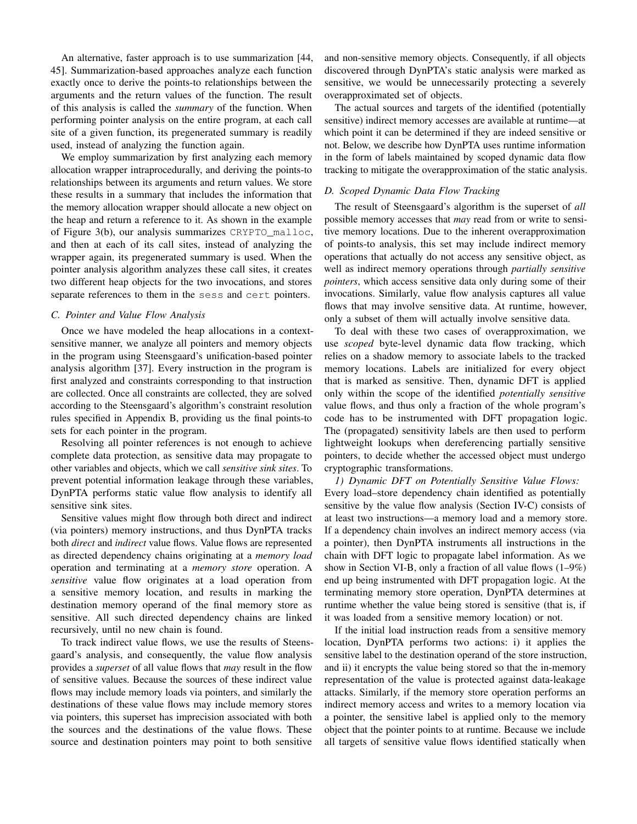An alternative, faster approach is to use summarization [\[44,](#page-13-43) [45\]](#page-14-0). Summarization-based approaches analyze each function exactly once to derive the points-to relationships between the arguments and the return values of the function. The result of this analysis is called the *summary* of the function. When performing pointer analysis on the entire program, at each call site of a given function, its pregenerated summary is readily used, instead of analyzing the function again.

We employ summarization by first analyzing each memory allocation wrapper intraprocedurally, and deriving the points-to relationships between its arguments and return values. We store these results in a summary that includes the information that the memory allocation wrapper should allocate a new object on the heap and return a reference to it. As shown in the example of Figure [3\(](#page-4-2)b), our analysis summarizes CRYPTO\_malloc, and then at each of its call sites, instead of analyzing the wrapper again, its pregenerated summary is used. When the pointer analysis algorithm analyzes these call sites, it creates two different heap objects for the two invocations, and stores separate references to them in the sess and cert pointers.

# <span id="page-5-0"></span>*C. Pointer and Value Flow Analysis*

Once we have modeled the heap allocations in a contextsensitive manner, we analyze all pointers and memory objects in the program using Steensgaard's unification-based pointer analysis algorithm [\[37\]](#page-13-36). Every instruction in the program is first analyzed and constraints corresponding to that instruction are collected. Once all constraints are collected, they are solved according to the Steensgaard's algorithm's constraint resolution rules specified in Appendix [B,](#page-15-1) providing us the final points-to sets for each pointer in the program.

Resolving all pointer references is not enough to achieve complete data protection, as sensitive data may propagate to other variables and objects, which we call *sensitive sink sites*. To prevent potential information leakage through these variables, DynPTA performs static value flow analysis to identify all sensitive sink sites.

Sensitive values might flow through both direct and indirect (via pointers) memory instructions, and thus DynPTA tracks both *direct* and *indirect* value flows. Value flows are represented as directed dependency chains originating at a *memory load* operation and terminating at a *memory store* operation. A *sensitive* value flow originates at a load operation from a sensitive memory location, and results in marking the destination memory operand of the final memory store as sensitive. All such directed dependency chains are linked recursively, until no new chain is found.

To track indirect value flows, we use the results of Steensgaard's analysis, and consequently, the value flow analysis provides a *superset* of all value flows that *may* result in the flow of sensitive values. Because the sources of these indirect value flows may include memory loads via pointers, and similarly the destinations of these value flows may include memory stores via pointers, this superset has imprecision associated with both the sources and the destinations of the value flows. These source and destination pointers may point to both sensitive

and non-sensitive memory objects. Consequently, if all objects discovered through DynPTA's static analysis were marked as sensitive, we would be unnecessarily protecting a severely overapproximated set of objects.

The actual sources and targets of the identified (potentially sensitive) indirect memory accesses are available at runtime—at which point it can be determined if they are indeed sensitive or not. Below, we describe how DynPTA uses runtime information in the form of labels maintained by scoped dynamic data flow tracking to mitigate the overapproximation of the static analysis.

## <span id="page-5-1"></span>*D. Scoped Dynamic Data Flow Tracking*

The result of Steensgaard's algorithm is the superset of *all* possible memory accesses that *may* read from or write to sensitive memory locations. Due to the inherent overapproximation of points-to analysis, this set may include indirect memory operations that actually do not access any sensitive object, as well as indirect memory operations through *partially sensitive pointers*, which access sensitive data only during some of their invocations. Similarly, value flow analysis captures all value flows that may involve sensitive data. At runtime, however, only a subset of them will actually involve sensitive data.

To deal with these two cases of overapproximation, we use *scoped* byte-level dynamic data flow tracking, which relies on a shadow memory to associate labels to the tracked memory locations. Labels are initialized for every object that is marked as sensitive. Then, dynamic DFT is applied only within the scope of the identified *potentially sensitive* value flows, and thus only a fraction of the whole program's code has to be instrumented with DFT propagation logic. The (propagated) sensitivity labels are then used to perform lightweight lookups when dereferencing partially sensitive pointers, to decide whether the accessed object must undergo cryptographic transformations.

*1) Dynamic DFT on Potentially Sensitive Value Flows:* Every load–store dependency chain identified as potentially sensitive by the value flow analysis (Section [IV-C\)](#page-5-0) consists of at least two instructions—a memory load and a memory store. If a dependency chain involves an indirect memory access (via a pointer), then DynPTA instruments all instructions in the chain with DFT logic to propagate label information. As we show in Section [VI-B,](#page-8-0) only a fraction of all value flows (1–9%) end up being instrumented with DFT propagation logic. At the terminating memory store operation, DynPTA determines at runtime whether the value being stored is sensitive (that is, if it was loaded from a sensitive memory location) or not.

If the initial load instruction reads from a sensitive memory location, DynPTA performs two actions: i) it applies the sensitive label to the destination operand of the store instruction, and ii) it encrypts the value being stored so that the in-memory representation of the value is protected against data-leakage attacks. Similarly, if the memory store operation performs an indirect memory access and writes to a memory location via a pointer, the sensitive label is applied only to the memory object that the pointer points to at runtime. Because we include all targets of sensitive value flows identified statically when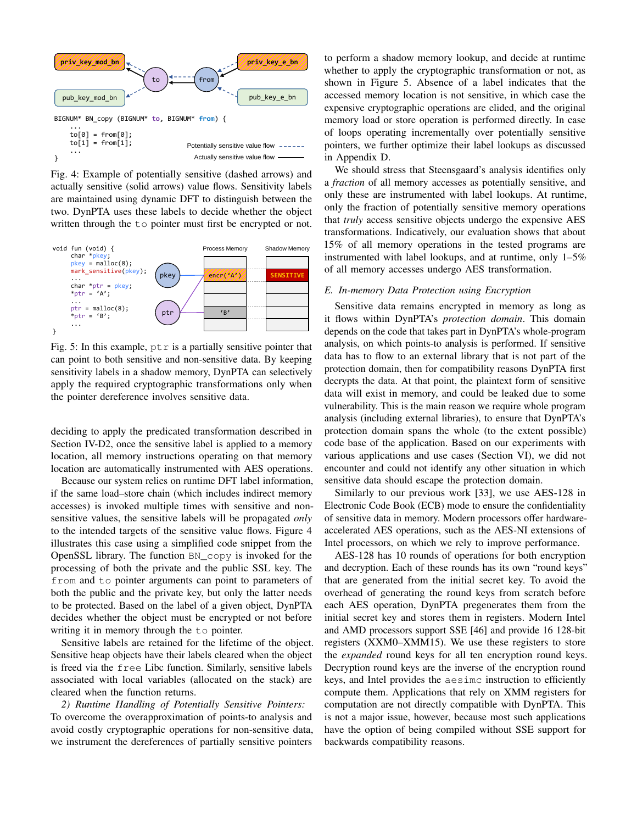<span id="page-6-1"></span>

Fig. 4: Example of potentially sensitive (dashed arrows) and actually sensitive (solid arrows) value flows. Sensitivity labels are maintained using dynamic DFT to distinguish between the two. DynPTA uses these labels to decide whether the object written through the to pointer must first be encrypted or not.

<span id="page-6-2"></span>

Fig. 5: In this example,  $ptr$  is a partially sensitive pointer that can point to both sensitive and non-sensitive data. By keeping sensitivity labels in a shadow memory, DynPTA can selectively apply the required cryptographic transformations only when the pointer dereference involves sensitive data.

deciding to apply the predicated transformation described in Section [IV-D2,](#page-6-0) once the sensitive label is applied to a memory location, all memory instructions operating on that memory location are automatically instrumented with AES operations.

Because our system relies on runtime DFT label information, if the same load–store chain (which includes indirect memory accesses) is invoked multiple times with sensitive and nonsensitive values, the sensitive labels will be propagated *only* to the intended targets of the sensitive value flows. Figure [4](#page-6-1) illustrates this case using a simplified code snippet from the OpenSSL library. The function BN\_copy is invoked for the processing of both the private and the public SSL key. The from and to pointer arguments can point to parameters of both the public and the private key, but only the latter needs to be protected. Based on the label of a given object, DynPTA decides whether the object must be encrypted or not before writing it in memory through the to pointer.

Sensitive labels are retained for the lifetime of the object. Sensitive heap objects have their labels cleared when the object is freed via the free Libc function. Similarly, sensitive labels associated with local variables (allocated on the stack) are cleared when the function returns.

<span id="page-6-0"></span>*2) Runtime Handling of Potentially Sensitive Pointers:* To overcome the overapproximation of points-to analysis and avoid costly cryptographic operations for non-sensitive data, we instrument the dereferences of partially sensitive pointers

to perform a shadow memory lookup, and decide at runtime whether to apply the cryptographic transformation or not, as shown in Figure [5.](#page-6-2) Absence of a label indicates that the accessed memory location is not sensitive, in which case the expensive cryptographic operations are elided, and the original memory load or store operation is performed directly. In case of loops operating incrementally over potentially sensitive pointers, we further optimize their label lookups as discussed in Appendix [D.](#page-16-0)

We should stress that Steensgaard's analysis identifies only a *fraction* of all memory accesses as potentially sensitive, and only these are instrumented with label lookups. At runtime, only the fraction of potentially sensitive memory operations that *truly* access sensitive objects undergo the expensive AES transformations. Indicatively, our evaluation shows that about 15% of all memory operations in the tested programs are instrumented with label lookups, and at runtime, only 1–5% of all memory accesses undergo AES transformation.

#### *E. In-memory Data Protection using Encryption*

Sensitive data remains encrypted in memory as long as it flows within DynPTA's *protection domain*. This domain depends on the code that takes part in DynPTA's whole-program analysis, on which points-to analysis is performed. If sensitive data has to flow to an external library that is not part of the protection domain, then for compatibility reasons DynPTA first decrypts the data. At that point, the plaintext form of sensitive data will exist in memory, and could be leaked due to some vulnerability. This is the main reason we require whole program analysis (including external libraries), to ensure that DynPTA's protection domain spans the whole (to the extent possible) code base of the application. Based on our experiments with various applications and use cases (Section [VI\)](#page-8-1), we did not encounter and could not identify any other situation in which sensitive data should escape the protection domain.

Similarly to our previous work [\[33\]](#page-13-32), we use AES-128 in Electronic Code Book (ECB) mode to ensure the confidentiality of sensitive data in memory. Modern processors offer hardwareaccelerated AES operations, such as the AES-NI extensions of Intel processors, on which we rely to improve performance.

AES-128 has 10 rounds of operations for both encryption and decryption. Each of these rounds has its own "round keys" that are generated from the initial secret key. To avoid the overhead of generating the round keys from scratch before each AES operation, DynPTA pregenerates them from the initial secret key and stores them in registers. Modern Intel and AMD processors support SSE [\[46\]](#page-14-1) and provide 16 128-bit registers (XXM0–XMM15). We use these registers to store the *expanded* round keys for all ten encryption round keys. Decryption round keys are the inverse of the encryption round keys, and Intel provides the aesimc instruction to efficiently compute them. Applications that rely on XMM registers for computation are not directly compatible with DynPTA. This is not a major issue, however, because most such applications have the option of being compiled without SSE support for backwards compatibility reasons.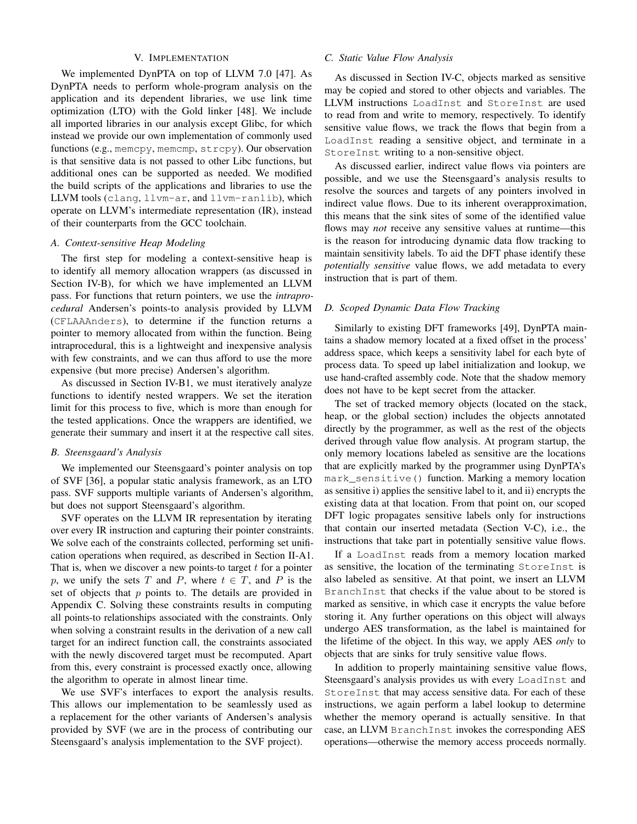# V. IMPLEMENTATION

We implemented DynPTA on top of LLVM 7.0 [\[47\]](#page-14-2). As DynPTA needs to perform whole-program analysis on the application and its dependent libraries, we use link time optimization (LTO) with the Gold linker [\[48\]](#page-14-3). We include all imported libraries in our analysis except Glibc, for which instead we provide our own implementation of commonly used functions (e.g., memcpy, memcmp, strcpy). Our observation is that sensitive data is not passed to other Libc functions, but additional ones can be supported as needed. We modified the build scripts of the applications and libraries to use the LLVM tools (clang, llvm-ar, and llvm-ranlib), which operate on LLVM's intermediate representation (IR), instead of their counterparts from the GCC toolchain.

#### *A. Context-sensitive Heap Modeling*

The first step for modeling a context-sensitive heap is to identify all memory allocation wrappers (as discussed in Section [IV-B\)](#page-4-0), for which we have implemented an LLVM pass. For functions that return pointers, we use the *intraprocedural* Andersen's points-to analysis provided by LLVM (CFLAAAnders), to determine if the function returns a pointer to memory allocated from within the function. Being intraprocedural, this is a lightweight and inexpensive analysis with few constraints, and we can thus afford to use the more expensive (but more precise) Andersen's algorithm.

As discussed in Section [IV-B1,](#page-4-3) we must iteratively analyze functions to identify nested wrappers. We set the iteration limit for this process to five, which is more than enough for the tested applications. Once the wrappers are identified, we generate their summary and insert it at the respective call sites.

#### *B. Steensgaard's Analysis*

We implemented our Steensgaard's pointer analysis on top of SVF [\[36\]](#page-13-35), a popular static analysis framework, as an LTO pass. SVF supports multiple variants of Andersen's algorithm, but does not support Steensgaard's algorithm.

SVF operates on the LLVM IR representation by iterating over every IR instruction and capturing their pointer constraints. We solve each of the constraints collected, performing set unification operations when required, as described in Section [II-A1.](#page-1-0) That is, when we discover a new points-to target  $t$  for a pointer p, we unify the sets T and P, where  $t \in T$ , and P is the set of objects that  $p$  points to. The details are provided in Appendix [C.](#page-15-2) Solving these constraints results in computing all points-to relationships associated with the constraints. Only when solving a constraint results in the derivation of a new call target for an indirect function call, the constraints associated with the newly discovered target must be recomputed. Apart from this, every constraint is processed exactly once, allowing the algorithm to operate in almost linear time.

We use SVF's interfaces to export the analysis results. This allows our implementation to be seamlessly used as a replacement for the other variants of Andersen's analysis provided by SVF (we are in the process of contributing our Steensgaard's analysis implementation to the SVF project).

# <span id="page-7-0"></span>*C. Static Value Flow Analysis*

As discussed in Section [IV-C,](#page-5-0) objects marked as sensitive may be copied and stored to other objects and variables. The LLVM instructions LoadInst and StoreInst are used to read from and write to memory, respectively. To identify sensitive value flows, we track the flows that begin from a LoadInst reading a sensitive object, and terminate in a StoreInst writing to a non-sensitive object.

As discussed earlier, indirect value flows via pointers are possible, and we use the Steensgaard's analysis results to resolve the sources and targets of any pointers involved in indirect value flows. Due to its inherent overapproximation, this means that the sink sites of some of the identified value flows may *not* receive any sensitive values at runtime—this is the reason for introducing dynamic data flow tracking to maintain sensitivity labels. To aid the DFT phase identify these *potentially sensitive* value flows, we add metadata to every instruction that is part of them.

## *D. Scoped Dynamic Data Flow Tracking*

Similarly to existing DFT frameworks [\[49\]](#page-14-4), DynPTA maintains a shadow memory located at a fixed offset in the process' address space, which keeps a sensitivity label for each byte of process data. To speed up label initialization and lookup, we use hand-crafted assembly code. Note that the shadow memory does not have to be kept secret from the attacker.

The set of tracked memory objects (located on the stack, heap, or the global section) includes the objects annotated directly by the programmer, as well as the rest of the objects derived through value flow analysis. At program startup, the only memory locations labeled as sensitive are the locations that are explicitly marked by the programmer using DynPTA's mark\_sensitive() function. Marking a memory location as sensitive i) applies the sensitive label to it, and ii) encrypts the existing data at that location. From that point on, our scoped DFT logic propagates sensitive labels only for instructions that contain our inserted metadata (Section [V-C\)](#page-7-0), i.e., the instructions that take part in potentially sensitive value flows.

If a LoadInst reads from a memory location marked as sensitive, the location of the terminating StoreInst is also labeled as sensitive. At that point, we insert an LLVM BranchInst that checks if the value about to be stored is marked as sensitive, in which case it encrypts the value before storing it. Any further operations on this object will always undergo AES transformation, as the label is maintained for the lifetime of the object. In this way, we apply AES *only* to objects that are sinks for truly sensitive value flows.

In addition to properly maintaining sensitive value flows, Steensgaard's analysis provides us with every LoadInst and StoreInst that may access sensitive data. For each of these instructions, we again perform a label lookup to determine whether the memory operand is actually sensitive. In that case, an LLVM BranchInst invokes the corresponding AES operations—otherwise the memory access proceeds normally.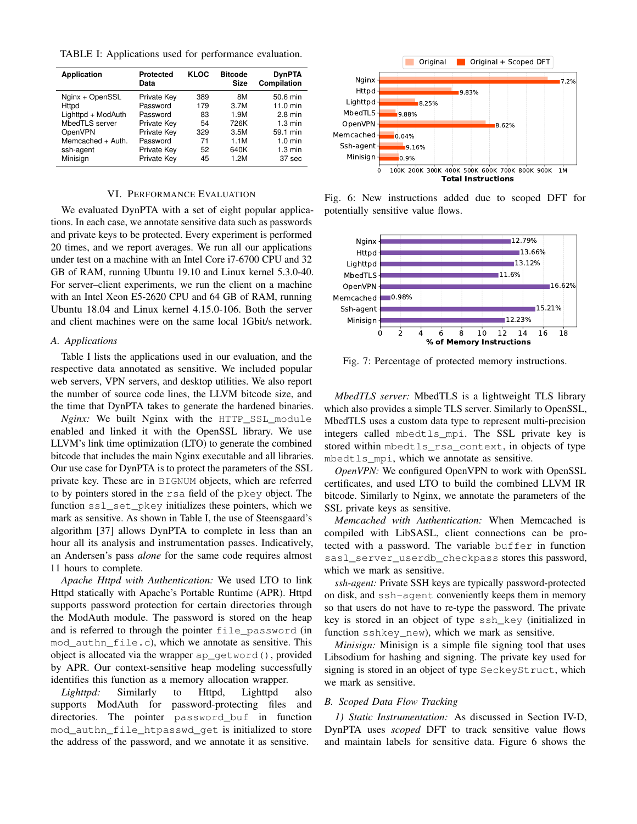<span id="page-8-2"></span>TABLE I: Applications used for performance evaluation.

| <b>Application</b> | <b>Protected</b><br>Data | <b>KLOC</b> | <b>Bitcode</b><br>Size | <b>DynPTA</b><br>Compilation |
|--------------------|--------------------------|-------------|------------------------|------------------------------|
| Nginx + OpenSSL    | <b>Private Key</b>       | 389         | 8M                     | 50.6 min                     |
| <b>Httpd</b>       | Password                 | 179         | 3.7M                   | 11.0 min                     |
| Lighttpd + ModAuth | Password                 | 83          | 1.9M                   | $2.8 \text{ min}$            |
| MbedTLS server     | Private Key              | 54          | 726K                   | $1.3 \text{ min}$            |
| OpenVPN            | Private Key              | 329         | 3.5M                   | 59.1 min                     |
| Memcached + Auth.  | Password                 | 71          | 1.1M                   | $1.0 \text{ min}$            |
| ssh-agent          | <b>Private Key</b>       | 52          | 640K                   | $1.3 \text{ min}$            |
| Minisign           | Private Key              | 45          | 1.2M                   | 37 sec                       |

#### VI. PERFORMANCE EVALUATION

<span id="page-8-1"></span>We evaluated DynPTA with a set of eight popular applications. In each case, we annotate sensitive data such as passwords and private keys to be protected. Every experiment is performed 20 times, and we report averages. We run all our applications under test on a machine with an Intel Core i7-6700 CPU and 32 GB of RAM, running Ubuntu 19.10 and Linux kernel 5.3.0-40. For server–client experiments, we run the client on a machine with an Intel Xeon E5-2620 CPU and 64 GB of RAM, running Ubuntu 18.04 and Linux kernel 4.15.0-106. Both the server and client machines were on the same local 1Gbit/s network.

## <span id="page-8-5"></span>*A. Applications*

Table [I](#page-8-2) lists the applications used in our evaluation, and the respective data annotated as sensitive. We included popular web servers, VPN servers, and desktop utilities. We also report the number of source code lines, the LLVM bitcode size, and the time that DynPTA takes to generate the hardened binaries.

*Nginx:* We built Nginx with the HTTP\_SSL\_module enabled and linked it with the OpenSSL library. We use LLVM's link time optimization (LTO) to generate the combined bitcode that includes the main Nginx executable and all libraries. Our use case for DynPTA is to protect the parameters of the SSL private key. These are in BIGNUM objects, which are referred to by pointers stored in the rsa field of the pkey object. The function ssl\_set\_pkey initializes these pointers, which we mark as sensitive. As shown in Table [I,](#page-8-2) the use of Steensgaard's algorithm [\[37\]](#page-13-36) allows DynPTA to complete in less than an hour all its analysis and instrumentation passes. Indicatively, an Andersen's pass *alone* for the same code requires almost 11 hours to complete.

*Apache Httpd with Authentication:* We used LTO to link Httpd statically with Apache's Portable Runtime (APR). Httpd supports password protection for certain directories through the ModAuth module. The password is stored on the heap and is referred to through the pointer file\_password (in mod authn file.c), which we annotate as sensitive. This object is allocated via the wrapper ap\_getword(), provided by APR. Our context-sensitive heap modeling successfully identifies this function as a memory allocation wrapper.

*Lighttpd:* Similarly to Httpd, Lighttpd also supports ModAuth for password-protecting files and directories. The pointer password\_buf in function mod\_authn\_file\_htpasswd\_get is initialized to store the address of the password, and we annotate it as sensitive.

<span id="page-8-3"></span>

Fig. 6: New instructions added due to scoped DFT for potentially sensitive value flows.

<span id="page-8-4"></span>

Fig. 7: Percentage of protected memory instructions.

*MbedTLS server:* MbedTLS is a lightweight TLS library which also provides a simple TLS server. Similarly to OpenSSL, MbedTLS uses a custom data type to represent multi-precision integers called mbedtls\_mpi. The SSL private key is stored within mbedtls\_rsa\_context, in objects of type mbedtls\_mpi, which we annotate as sensitive.

*OpenVPN:* We configured OpenVPN to work with OpenSSL certificates, and used LTO to build the combined LLVM IR bitcode. Similarly to Nginx, we annotate the parameters of the SSL private keys as sensitive.

*Memcached with Authentication:* When Memcached is compiled with LibSASL, client connections can be protected with a password. The variable buffer in function sasl\_server\_userdb\_checkpass stores this password, which we mark as sensitive.

*ssh-agent:* Private SSH keys are typically password-protected on disk, and ssh-agent conveniently keeps them in memory so that users do not have to re-type the password. The private key is stored in an object of type ssh\_key (initialized in function sshkey\_new), which we mark as sensitive.

*Minisign:* Minisign is a simple file signing tool that uses Libsodium for hashing and signing. The private key used for signing is stored in an object of type SeckeyStruct, which we mark as sensitive.

#### <span id="page-8-0"></span>*B. Scoped Data Flow Tracking*

*1) Static Instrumentation:* As discussed in Section [IV-D,](#page-5-1) DynPTA uses *scoped* DFT to track sensitive value flows and maintain labels for sensitive data. Figure [6](#page-8-3) shows the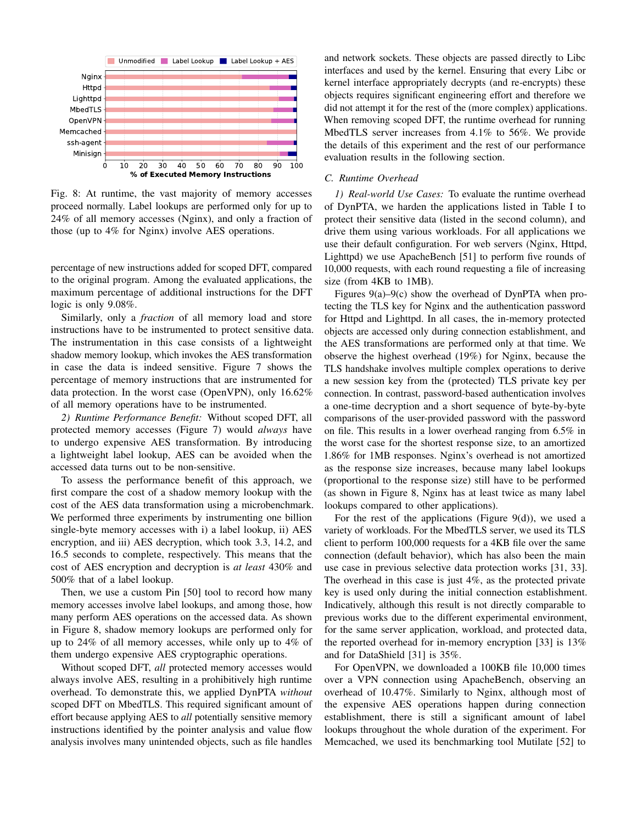<span id="page-9-0"></span>

Fig. 8: At runtime, the vast majority of memory accesses proceed normally. Label lookups are performed only for up to 24% of all memory accesses (Nginx), and only a fraction of those (up to 4% for Nginx) involve AES operations.

percentage of new instructions added for scoped DFT, compared to the original program. Among the evaluated applications, the maximum percentage of additional instructions for the DFT logic is only 9.08%.

Similarly, only a *fraction* of all memory load and store instructions have to be instrumented to protect sensitive data. The instrumentation in this case consists of a lightweight shadow memory lookup, which invokes the AES transformation in case the data is indeed sensitive. Figure [7](#page-8-4) shows the percentage of memory instructions that are instrumented for data protection. In the worst case (OpenVPN), only 16.62% of all memory operations have to be instrumented.

*2) Runtime Performance Benefit:* Without scoped DFT, all protected memory accesses (Figure [7\)](#page-8-4) would *always* have to undergo expensive AES transformation. By introducing a lightweight label lookup, AES can be avoided when the accessed data turns out to be non-sensitive.

To assess the performance benefit of this approach, we first compare the cost of a shadow memory lookup with the cost of the AES data transformation using a microbenchmark. We performed three experiments by instrumenting one billion single-byte memory accesses with i) a label lookup, ii) AES encryption, and iii) AES decryption, which took 3.3, 14.2, and 16.5 seconds to complete, respectively. This means that the cost of AES encryption and decryption is *at least* 430% and 500% that of a label lookup.

Then, we use a custom Pin [\[50\]](#page-14-5) tool to record how many memory accesses involve label lookups, and among those, how many perform AES operations on the accessed data. As shown in Figure [8,](#page-9-0) shadow memory lookups are performed only for up to 24% of all memory accesses, while only up to 4% of them undergo expensive AES cryptographic operations.

Without scoped DFT, *all* protected memory accesses would always involve AES, resulting in a prohibitively high runtime overhead. To demonstrate this, we applied DynPTA *without* scoped DFT on MbedTLS. This required significant amount of effort because applying AES to *all* potentially sensitive memory instructions identified by the pointer analysis and value flow analysis involves many unintended objects, such as file handles

and network sockets. These objects are passed directly to Libc interfaces and used by the kernel. Ensuring that every Libc or kernel interface appropriately decrypts (and re-encrypts) these objects requires significant engineering effort and therefore we did not attempt it for the rest of the (more complex) applications. When removing scoped DFT, the runtime overhead for running MbedTLS server increases from 4.1% to 56%. We provide the details of this experiment and the rest of our performance evaluation results in the following section.

## *C. Runtime Overhead*

<span id="page-9-1"></span>*1) Real-world Use Cases:* To evaluate the runtime overhead of DynPTA, we harden the applications listed in Table [I](#page-8-2) to protect their sensitive data (listed in the second column), and drive them using various workloads. For all applications we use their default configuration. For web servers (Nginx, Httpd, Lighttpd) we use ApacheBench [\[51\]](#page-14-6) to perform five rounds of 10,000 requests, with each round requesting a file of increasing size (from 4KB to 1MB).

Figures [9\(](#page-10-0)a)[–9\(](#page-10-0)c) show the overhead of DynPTA when protecting the TLS key for Nginx and the authentication password for Httpd and Lighttpd. In all cases, the in-memory protected objects are accessed only during connection establishment, and the AES transformations are performed only at that time. We observe the highest overhead (19%) for Nginx, because the TLS handshake involves multiple complex operations to derive a new session key from the (protected) TLS private key per connection. In contrast, password-based authentication involves a one-time decryption and a short sequence of byte-by-byte comparisons of the user-provided password with the password on file. This results in a lower overhead ranging from 6.5% in the worst case for the shortest response size, to an amortized 1.86% for 1MB responses. Nginx's overhead is not amortized as the response size increases, because many label lookups (proportional to the response size) still have to be performed (as shown in Figure [8,](#page-9-0) Nginx has at least twice as many label lookups compared to other applications).

For the rest of the applications (Figure [9\(](#page-10-0)d)), we used a variety of workloads. For the MbedTLS server, we used its TLS client to perform 100,000 requests for a 4KB file over the same connection (default behavior), which has also been the main use case in previous selective data protection works [\[31,](#page-13-30) [33\]](#page-13-32). The overhead in this case is just 4%, as the protected private key is used only during the initial connection establishment. Indicatively, although this result is not directly comparable to previous works due to the different experimental environment, for the same server application, workload, and protected data, the reported overhead for in-memory encryption [\[33\]](#page-13-32) is 13% and for DataShield [\[31\]](#page-13-30) is 35%.

For OpenVPN, we downloaded a 100KB file 10,000 times over a VPN connection using ApacheBench, observing an overhead of 10.47%. Similarly to Nginx, although most of the expensive AES operations happen during connection establishment, there is still a significant amount of label lookups throughout the whole duration of the experiment. For Memcached, we used its benchmarking tool Mutilate [\[52\]](#page-14-7) to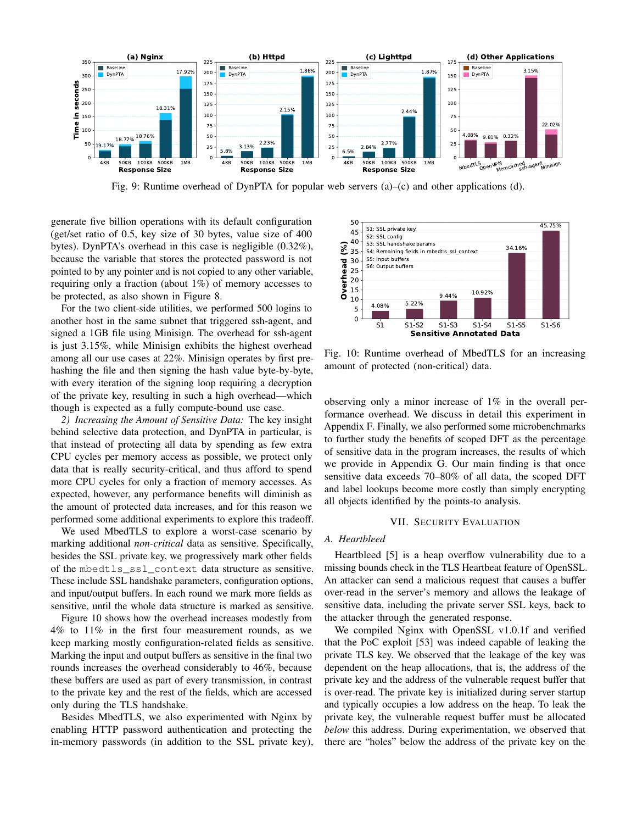<span id="page-10-0"></span>

Fig. 9: Runtime overhead of DynPTA for popular web servers  $(a)$ – $(c)$  and other applications  $(d)$ .

generate five billion operations with its default configuration (get/set ratio of 0.5, key size of 30 bytes, value size of 400 bytes). DynPTA's overhead in this case is negligible (0.32%), because the variable that stores the protected password is not pointed to by any pointer and is not copied to any other variable, requiring only a fraction (about 1%) of memory accesses to be protected, as also shown in Figure [8.](#page-9-0)

For the two client-side utilities, we performed 500 logins to another host in the same subnet that triggered ssh-agent, and signed a 1GB file using Minisign. The overhead for ssh-agent is just 3.15%, while Minisign exhibits the highest overhead among all our use cases at 22%. Minisign operates by first prehashing the file and then signing the hash value byte-by-byte, with every iteration of the signing loop requiring a decryption of the private key, resulting in such a high overhead—which though is expected as a fully compute-bound use case.

*2) Increasing the Amount of Sensitive Data:* The key insight behind selective data protection, and DynPTA in particular, is that instead of protecting all data by spending as few extra CPU cycles per memory access as possible, we protect only data that is really security-critical, and thus afford to spend more CPU cycles for only a fraction of memory accesses. As expected, however, any performance benefits will diminish as the amount of protected data increases, and for this reason we performed some additional experiments to explore this tradeoff.

We used MbedTLS to explore a worst-case scenario by marking additional *non-critical* data as sensitive. Specifically, besides the SSL private key, we progressively mark other fields of the mbedtls\_ssl\_context data structure as sensitive. These include SSL handshake parameters, configuration options, and input/output buffers. In each round we mark more fields as sensitive, until the whole data structure is marked as sensitive.

Figure [10](#page-10-1) shows how the overhead increases modestly from 4% to 11% in the first four measurement rounds, as we keep marking mostly configuration-related fields as sensitive. Marking the input and output buffers as sensitive in the final two rounds increases the overhead considerably to 46%, because these buffers are used as part of every transmission, in contrast to the private key and the rest of the fields, which are accessed only during the TLS handshake.

Besides MbedTLS, we also experimented with Nginx by enabling HTTP password authentication and protecting the in-memory passwords (in addition to the SSL private key),

<span id="page-10-1"></span>

Fig. 10: Runtime overhead of MbedTLS for an increasing amount of protected (non-critical) data.

observing only a minor increase of 1% in the overall performance overhead. We discuss in detail this experiment in Appendix [F.](#page-17-0) Finally, we also performed some microbenchmarks to further study the benefits of scoped DFT as the percentage of sensitive data in the program increases, the results of which we provide in Appendix [G.](#page-17-1) Our main finding is that once sensitive data exceeds 70–80% of all data, the scoped DFT and label lookups become more costly than simply encrypting all objects identified by the points-to analysis.

# VII. SECURITY EVALUATION

# *A. Heartbleed*

Heartbleed [\[5\]](#page-13-4) is a heap overflow vulnerability due to a missing bounds check in the TLS Heartbeat feature of OpenSSL. An attacker can send a malicious request that causes a buffer over-read in the server's memory and allows the leakage of sensitive data, including the private server SSL keys, back to the attacker through the generated response.

We compiled Nginx with OpenSSL v1.0.1f and verified that the PoC exploit [\[53\]](#page-14-8) was indeed capable of leaking the private TLS key. We observed that the leakage of the key was dependent on the heap allocations, that is, the address of the private key and the address of the vulnerable request buffer that is over-read. The private key is initialized during server startup and typically occupies a low address on the heap. To leak the private key, the vulnerable request buffer must be allocated *below* this address. During experimentation, we observed that there are "holes" below the address of the private key on the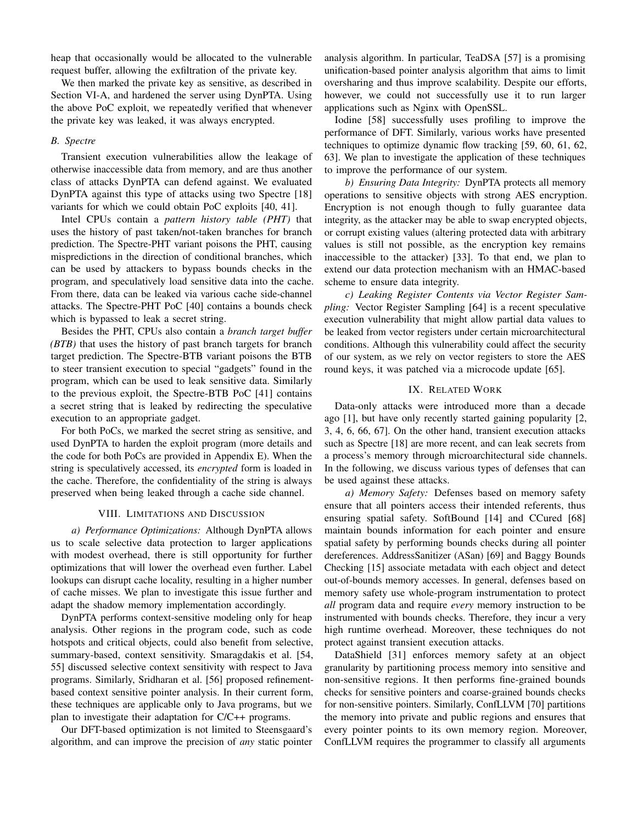heap that occasionally would be allocated to the vulnerable request buffer, allowing the exfiltration of the private key.

We then marked the private key as sensitive, as described in Section [VI-A,](#page-8-5) and hardened the server using DynPTA. Using the above PoC exploit, we repeatedly verified that whenever the private key was leaked, it was always encrypted.

#### *B. Spectre*

Transient execution vulnerabilities allow the leakage of otherwise inaccessible data from memory, and are thus another class of attacks DynPTA can defend against. We evaluated DynPTA against this type of attacks using two Spectre [\[18\]](#page-13-17) variants for which we could obtain PoC exploits [\[40,](#page-13-39) [41\]](#page-13-40).

Intel CPUs contain a *pattern history table (PHT)* that uses the history of past taken/not-taken branches for branch prediction. The Spectre-PHT variant poisons the PHT, causing mispredictions in the direction of conditional branches, which can be used by attackers to bypass bounds checks in the program, and speculatively load sensitive data into the cache. From there, data can be leaked via various cache side-channel attacks. The Spectre-PHT PoC [\[40\]](#page-13-39) contains a bounds check which is bypassed to leak a secret string.

Besides the PHT, CPUs also contain a *branch target buffer (BTB)* that uses the history of past branch targets for branch target prediction. The Spectre-BTB variant poisons the BTB to steer transient execution to special "gadgets" found in the program, which can be used to leak sensitive data. Similarly to the previous exploit, the Spectre-BTB PoC [\[41\]](#page-13-40) contains a secret string that is leaked by redirecting the speculative execution to an appropriate gadget.

For both PoCs, we marked the secret string as sensitive, and used DynPTA to harden the exploit program (more details and the code for both PoCs are provided in Appendix [E\)](#page-16-1). When the string is speculatively accessed, its *encrypted* form is loaded in the cache. Therefore, the confidentiality of the string is always preserved when being leaked through a cache side channel.

## VIII. LIMITATIONS AND DISCUSSION

*a) Performance Optimizations:* Although DynPTA allows us to scale selective data protection to larger applications with modest overhead, there is still opportunity for further optimizations that will lower the overhead even further. Label lookups can disrupt cache locality, resulting in a higher number of cache misses. We plan to investigate this issue further and adapt the shadow memory implementation accordingly.

DynPTA performs context-sensitive modeling only for heap analysis. Other regions in the program code, such as code hotspots and critical objects, could also benefit from selective, summary-based, context sensitivity. Smaragdakis et al. [\[54,](#page-14-9) [55\]](#page-14-10) discussed selective context sensitivity with respect to Java programs. Similarly, Sridharan et al. [\[56\]](#page-14-11) proposed refinementbased context sensitive pointer analysis. In their current form, these techniques are applicable only to Java programs, but we plan to investigate their adaptation for C/C++ programs.

Our DFT-based optimization is not limited to Steensgaard's algorithm, and can improve the precision of *any* static pointer analysis algorithm. In particular, TeaDSA [\[57\]](#page-14-12) is a promising unification-based pointer analysis algorithm that aims to limit oversharing and thus improve scalability. Despite our efforts, however, we could not successfully use it to run larger applications such as Nginx with OpenSSL.

Iodine [\[58\]](#page-14-13) successfully uses profiling to improve the performance of DFT. Similarly, various works have presented techniques to optimize dynamic flow tracking [\[59,](#page-14-14) [60,](#page-14-15) [61,](#page-14-16) [62,](#page-14-17) [63\]](#page-14-18). We plan to investigate the application of these techniques to improve the performance of our system.

*b) Ensuring Data Integrity:* DynPTA protects all memory operations to sensitive objects with strong AES encryption. Encryption is not enough though to fully guarantee data integrity, as the attacker may be able to swap encrypted objects, or corrupt existing values (altering protected data with arbitrary values is still not possible, as the encryption key remains inaccessible to the attacker) [\[33\]](#page-13-32). To that end, we plan to extend our data protection mechanism with an HMAC-based scheme to ensure data integrity.

*c) Leaking Register Contents via Vector Register Sampling:* Vector Register Sampling [\[64\]](#page-14-19) is a recent speculative execution vulnerability that might allow partial data values to be leaked from vector registers under certain microarchitectural conditions. Although this vulnerability could affect the security of our system, as we rely on vector registers to store the AES round keys, it was patched via a microcode update [\[65\]](#page-14-20).

# IX. RELATED WORK

Data-only attacks were introduced more than a decade ago [\[1\]](#page-13-0), but have only recently started gaining popularity [\[2,](#page-13-1) [3,](#page-13-2) [4,](#page-13-3) [6,](#page-13-5) [66,](#page-14-21) [67\]](#page-14-22). On the other hand, transient execution attacks such as Spectre [\[18\]](#page-13-17) are more recent, and can leak secrets from a process's memory through microarchitectural side channels. In the following, we discuss various types of defenses that can be used against these attacks.

*a) Memory Safety:* Defenses based on memory safety ensure that all pointers access their intended referents, thus ensuring spatial safety. SoftBound [\[14\]](#page-13-13) and CCured [\[68\]](#page-14-23) maintain bounds information for each pointer and ensure spatial safety by performing bounds checks during all pointer dereferences. AddressSanitizer (ASan) [\[69\]](#page-14-24) and Baggy Bounds Checking [\[15\]](#page-13-14) associate metadata with each object and detect out-of-bounds memory accesses. In general, defenses based on memory safety use whole-program instrumentation to protect *all* program data and require *every* memory instruction to be instrumented with bounds checks. Therefore, they incur a very high runtime overhead. Moreover, these techniques do not protect against transient execution attacks.

DataShield [\[31\]](#page-13-30) enforces memory safety at an object granularity by partitioning process memory into sensitive and non-sensitive regions. It then performs fine-grained bounds checks for sensitive pointers and coarse-grained bounds checks for non-sensitive pointers. Similarly, ConfLLVM [\[70\]](#page-14-25) partitions the memory into private and public regions and ensures that every pointer points to its own memory region. Moreover, ConfLLVM requires the programmer to classify all arguments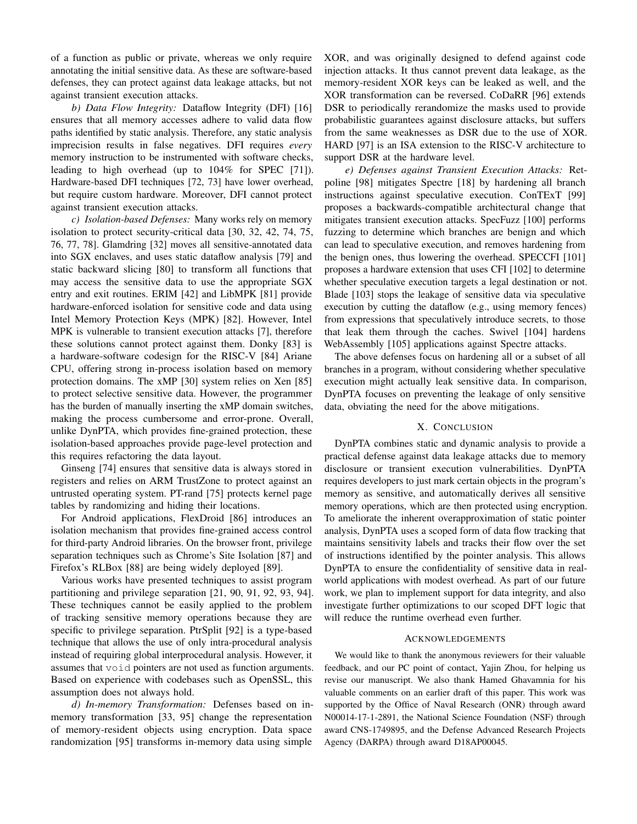of a function as public or private, whereas we only require annotating the initial sensitive data. As these are software-based defenses, they can protect against data leakage attacks, but not against transient execution attacks.

*b) Data Flow Integrity:* Dataflow Integrity (DFI) [\[16\]](#page-13-15) ensures that all memory accesses adhere to valid data flow paths identified by static analysis. Therefore, any static analysis imprecision results in false negatives. DFI requires *every* memory instruction to be instrumented with software checks, leading to high overhead (up to 104% for SPEC [\[71\]](#page-14-26)). Hardware-based DFI techniques [\[72,](#page-14-27) [73\]](#page-14-28) have lower overhead, but require custom hardware. Moreover, DFI cannot protect against transient execution attacks.

*c) Isolation-based Defenses:* Many works rely on memory isolation to protect security-critical data [\[30,](#page-13-29) [32,](#page-13-31) [42,](#page-13-41) [74,](#page-14-29) [75,](#page-14-30) [76,](#page-14-31) [77,](#page-14-32) [78\]](#page-14-33). Glamdring [\[32\]](#page-13-31) moves all sensitive-annotated data into SGX enclaves, and uses static dataflow analysis [\[79\]](#page-14-34) and static backward slicing [\[80\]](#page-14-35) to transform all functions that may access the sensitive data to use the appropriate SGX entry and exit routines. ERIM [\[42\]](#page-13-41) and LibMPK [\[81\]](#page-14-36) provide hardware-enforced isolation for sensitive code and data using Intel Memory Protection Keys (MPK) [\[82\]](#page-14-37). However, Intel MPK is vulnerable to transient execution attacks [\[7\]](#page-13-6), therefore these solutions cannot protect against them. Donky [\[83\]](#page-14-38) is a hardware-software codesign for the RISC-V [\[84\]](#page-14-39) Ariane CPU, offering strong in-process isolation based on memory protection domains. The xMP [\[30\]](#page-13-29) system relies on Xen [\[85\]](#page-14-40) to protect selective sensitive data. However, the programmer has the burden of manually inserting the xMP domain switches, making the process cumbersome and error-prone. Overall, unlike DynPTA, which provides fine-grained protection, these isolation-based approaches provide page-level protection and this requires refactoring the data layout.

Ginseng [\[74\]](#page-14-29) ensures that sensitive data is always stored in registers and relies on ARM TrustZone to protect against an untrusted operating system. PT-rand [\[75\]](#page-14-30) protects kernel page tables by randomizing and hiding their locations.

For Android applications, FlexDroid [\[86\]](#page-14-41) introduces an isolation mechanism that provides fine-grained access control for third-party Android libraries. On the browser front, privilege separation techniques such as Chrome's Site Isolation [\[87\]](#page-14-42) and Firefox's RLBox [\[88\]](#page-14-43) are being widely deployed [\[89\]](#page-14-44).

Various works have presented techniques to assist program partitioning and privilege separation [\[21,](#page-13-20) [90,](#page-14-45) [91,](#page-14-46) [92,](#page-14-47) [93,](#page-14-48) [94\]](#page-14-49). These techniques cannot be easily applied to the problem of tracking sensitive memory operations because they are specific to privilege separation. PtrSplit [\[92\]](#page-14-47) is a type-based technique that allows the use of only intra-procedural analysis instead of requiring global interprocedural analysis. However, it assumes that void pointers are not used as function arguments. Based on experience with codebases such as OpenSSL, this assumption does not always hold.

*d) In-memory Transformation:* Defenses based on inmemory transformation [\[33,](#page-13-32) [95\]](#page-15-3) change the representation of memory-resident objects using encryption. Data space randomization [\[95\]](#page-15-3) transforms in-memory data using simple

XOR, and was originally designed to defend against code injection attacks. It thus cannot prevent data leakage, as the memory-resident XOR keys can be leaked as well, and the XOR transformation can be reversed. CoDaRR [\[96\]](#page-15-4) extends DSR to periodically rerandomize the masks used to provide probabilistic guarantees against disclosure attacks, but suffers from the same weaknesses as DSR due to the use of XOR. HARD [\[97\]](#page-15-5) is an ISA extension to the RISC-V architecture to support DSR at the hardware level.

*e) Defenses against Transient Execution Attacks:* Retpoline [\[98\]](#page-15-6) mitigates Spectre [\[18\]](#page-13-17) by hardening all branch instructions against speculative execution. ConTExT [\[99\]](#page-15-7) proposes a backwards-compatible architectural change that mitigates transient execution attacks. SpecFuzz [\[100\]](#page-15-8) performs fuzzing to determine which branches are benign and which can lead to speculative execution, and removes hardening from the benign ones, thus lowering the overhead. SPECCFI [\[101\]](#page-15-9) proposes a hardware extension that uses CFI [\[102\]](#page-15-10) to determine whether speculative execution targets a legal destination or not. Blade [\[103\]](#page-15-11) stops the leakage of sensitive data via speculative execution by cutting the dataflow (e.g., using memory fences) from expressions that speculatively introduce secrets, to those that leak them through the caches. Swivel [\[104\]](#page-15-12) hardens WebAssembly [\[105\]](#page-15-13) applications against Spectre attacks.

The above defenses focus on hardening all or a subset of all branches in a program, without considering whether speculative execution might actually leak sensitive data. In comparison, DynPTA focuses on preventing the leakage of only sensitive data, obviating the need for the above mitigations.

## X. CONCLUSION

DynPTA combines static and dynamic analysis to provide a practical defense against data leakage attacks due to memory disclosure or transient execution vulnerabilities. DynPTA requires developers to just mark certain objects in the program's memory as sensitive, and automatically derives all sensitive memory operations, which are then protected using encryption. To ameliorate the inherent overapproximation of static pointer analysis, DynPTA uses a scoped form of data flow tracking that maintains sensitivity labels and tracks their flow over the set of instructions identified by the pointer analysis. This allows DynPTA to ensure the confidentiality of sensitive data in realworld applications with modest overhead. As part of our future work, we plan to implement support for data integrity, and also investigate further optimizations to our scoped DFT logic that will reduce the runtime overhead even further.

#### ACKNOWLEDGEMENTS

We would like to thank the anonymous reviewers for their valuable feedback, and our PC point of contact, Yajin Zhou, for helping us revise our manuscript. We also thank Hamed Ghavamnia for his valuable comments on an earlier draft of this paper. This work was supported by the Office of Naval Research (ONR) through award N00014-17-1-2891, the National Science Foundation (NSF) through award CNS-1749895, and the Defense Advanced Research Projects Agency (DARPA) through award D18AP00045.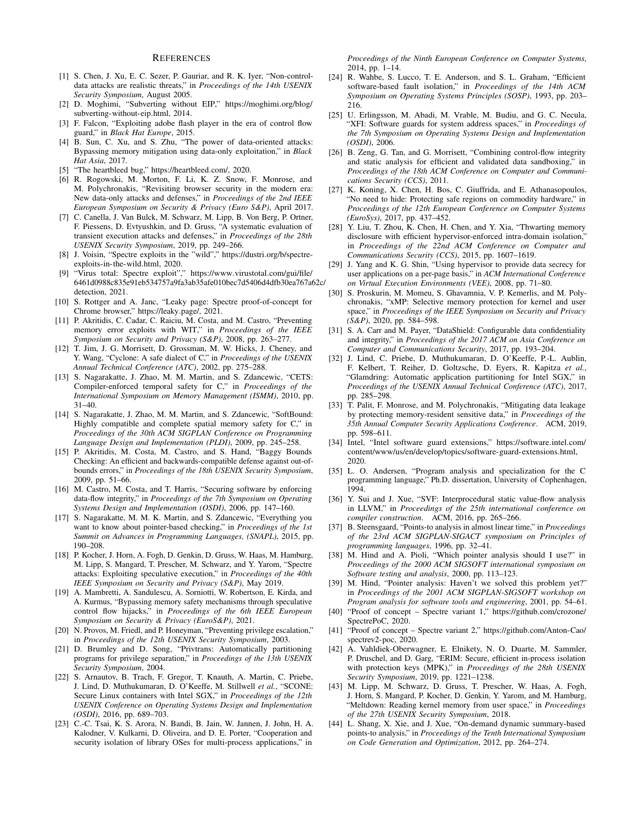# **REFERENCES**

- <span id="page-13-0"></span>[1] S. Chen, J. Xu, E. C. Sezer, P. Gauriar, and R. K. Iyer, "Non-controldata attacks are realistic threats," in *Proceedings of the 14th USENIX Security Symposium*, August 2005.
- <span id="page-13-1"></span>[2] D. Moghimi, "Subverting without EIP," [https://moghimi](https://moghimi.org/blog/subverting-without-eip.html).org/blog/ [subverting-without-eip](https://moghimi.org/blog/subverting-without-eip.html).html, 2014.
- <span id="page-13-2"></span>[3] F. Falcon, "Exploiting adobe flash player in the era of control flow guard," in *Black Hat Europe*, 2015.
- <span id="page-13-3"></span>[4] B. Sun, C. Xu, and S. Zhu, "The power of data-oriented attacks: Bypassing memory mitigation using data-only exploitation," in *Black Hat Asia*, 2017.
- <span id="page-13-4"></span>[5] "The heartbleed bug," [https://heartbleed](https://heartbleed.com/).com/, 2020.
- <span id="page-13-5"></span>[6] R. Rogowski, M. Morton, F. Li, K. Z. Snow, F. Monrose, and M. Polychronakis, "Revisiting browser security in the modern era: New data-only attacks and defenses," in *Proceedings of the 2nd IEEE European Symposium on Security & Privacy (Euro S&P)*, April 2017.
- <span id="page-13-6"></span>[7] C. Canella, J. Van Bulck, M. Schwarz, M. Lipp, B. Von Berg, P. Ortner, F. Piessens, D. Evtyushkin, and D. Gruss, "A systematic evaluation of transient execution attacks and defenses," in *Proceedings of the 28th USENIX Security Symposium*, 2019, pp. 249–266.
- <span id="page-13-7"></span>[8] J. Voisin, "Spectre exploits in the "wild"," https://dustri.[org/b/spectre](https://dustri.org/b/spectre-exploits-in-the-wild.html)[exploits-in-the-wild](https://dustri.org/b/spectre-exploits-in-the-wild.html).html, 2020.
- <span id="page-13-8"></span>[9] "Virus total: Spectre exploit"," https://www.virustotal.[com/gui/file/](https://www.virustotal.com/gui/file/6461d0988c835e91eb534757a9fa3ab35afe010bec7d5406d4dfb30ea767a62c/detection) [6461d0988c835e91eb534757a9fa3ab35afe010bec7d5406d4dfb30ea767a6](https://www.virustotal.com/gui/file/6461d0988c835e91eb534757a9fa3ab35afe010bec7d5406d4dfb30ea767a62c/detection)2c/ [detection,](https://www.virustotal.com/gui/file/6461d0988c835e91eb534757a9fa3ab35afe010bec7d5406d4dfb30ea767a62c/detection) 2021.
- <span id="page-13-9"></span>[10] S. Rottger and A. Janc, "Leaky page: Spectre proof-of-concept for Chrome browser," [https://leaky](https://leaky.page/).page/, 2021.
- <span id="page-13-10"></span>[11] P. Akritidis, C. Cadar, C. Raiciu, M. Costa, and M. Castro, "Preventing memory error exploits with WIT," in *Proceedings of the IEEE Symposium on Security and Privacy (S&P)*, 2008, pp. 263–277.
- <span id="page-13-11"></span>[12] T. Jim, J. G. Morrisett, D. Grossman, M. W. Hicks, J. Cheney, and Y. Wang, "Cyclone: A safe dialect of C," in *Proceedings of the USENIX Annual Technical Conference (ATC)*, 2002, pp. 275–288.
- <span id="page-13-12"></span>[13] S. Nagarakatte, J. Zhao, M. M. Martin, and S. Zdancewic, "CETS: Compiler-enforced temporal safety for C," in *Proceedings of the International Symposium on Memory Management (ISMM)*, 2010, pp.  $31-40$
- <span id="page-13-13"></span>[14] S. Nagarakatte, J. Zhao, M. M. Martin, and S. Zdancewic, "SoftBound: Highly compatible and complete spatial memory safety for C," in *Proceedings of the 30th ACM SIGPLAN Conference on Programming Language Design and Implementation (PLDI)*, 2009, pp. 245–258.
- <span id="page-13-14"></span>[15] P. Akritidis, M. Costa, M. Castro, and S. Hand, "Baggy Bounds Checking: An efficient and backwards-compatible defense against out-ofbounds errors," in *Proceedings of the 18th USENIX Security Symposium*, 2009, pp. 51–66.
- <span id="page-13-15"></span>[16] M. Castro, M. Costa, and T. Harris, "Securing software by enforcing data-flow integrity," in *Proceedings of the 7th Symposium on Operating Systems Design and Implementation (OSDI)*, 2006, pp. 147–160.
- <span id="page-13-16"></span>[17] S. Nagarakatte, M. M. K. Martin, and S. Zdancewic, "Everything you want to know about pointer-based checking," in *Proceedings of the 1st Summit on Advances in Programming Languages, (SNAPL)*, 2015, pp. 190–208.
- <span id="page-13-17"></span>[18] P. Kocher, J. Horn, A. Fogh, D. Genkin, D. Gruss, W. Haas, M. Hamburg, M. Lipp, S. Mangard, T. Prescher, M. Schwarz, and Y. Yarom, "Spectre attacks: Exploiting speculative execution," in *Proceedings of the 40th IEEE Symposium on Security and Privacy (S&P)*, May 2019.
- <span id="page-13-18"></span>[19] A. Mambretti, A. Sandulescu, A. Sorniotti, W. Robertson, E. Kirda, and A. Kurmus, "Bypassing memory safety mechanisms through speculative control flow hijacks," in *Proceedings of the 6th IEEE European Symposium on Security & Privacy (EuroS&P)*, 2021.
- <span id="page-13-19"></span>[20] N. Provos, M. Friedl, and P. Honeyman, "Preventing privilege escalation," in *Proceedings of the 12th USENIX Security Symposium*, 2003.
- <span id="page-13-20"></span>[21] D. Brumley and D. Song, "Privtrans: Automatically partitioning programs for privilege separation," in *Proceedings of the 13th USENIX Security Symposium*, 2004.
- <span id="page-13-21"></span>[22] S. Arnautov, B. Trach, F. Gregor, T. Knauth, A. Martin, C. Priebe, J. Lind, D. Muthukumaran, D. O'Keeffe, M. Stillwell *et al.*, "SCONE: Secure Linux containers with Intel SGX," in *Proceedings of the 12th USENIX Conference on Operating Systems Design and Implementation (OSDI)*, 2016, pp. 689–703.
- <span id="page-13-22"></span>[23] C.-C. Tsai, K. S. Arora, N. Bandi, B. Jain, W. Jannen, J. John, H. A. Kalodner, V. Kulkarni, D. Oliveira, and D. E. Porter, "Cooperation and security isolation of library OSes for multi-process applications," in

*Proceedings of the Ninth European Conference on Computer Systems*, 2014, pp. 1–14.

- <span id="page-13-23"></span>[24] R. Wahbe, S. Lucco, T. E. Anderson, and S. L. Graham, "Efficient software-based fault isolation," in *Proceedings of the 14th ACM Symposium on Operating Systems Principles (SOSP)*, 1993, pp. 203– 216.
- <span id="page-13-24"></span>[25] U. Erlingsson, M. Abadi, M. Vrable, M. Budiu, and G. C. Necula, "XFI: Software guards for system address spaces," in *Proceedings of the 7th Symposium on Operating Systems Design and Implementation (OSDI)*, 2006.
- <span id="page-13-25"></span>[26] B. Zeng, G. Tan, and G. Morrisett, "Combining control-flow integrity and static analysis for efficient and validated data sandboxing," in *Proceedings of the 18th ACM Conference on Computer and Communications Security (CCS)*, 2011.
- <span id="page-13-26"></span>[27] K. Koning, X. Chen, H. Bos, C. Giuffrida, and E. Athanasopoulos, "No need to hide: Protecting safe regions on commodity hardware," in *Proceedings of the 12th European Conference on Computer Systems (EuroSys)*, 2017, pp. 437–452.
- <span id="page-13-27"></span>[28] Y. Liu, T. Zhou, K. Chen, H. Chen, and Y. Xia, "Thwarting memory disclosure with efficient hypervisor-enforced intra-domain isolation," in *Proceedings of the 22nd ACM Conference on Computer and Communications Security (CCS)*, 2015, pp. 1607–1619.
- <span id="page-13-28"></span>[29] J. Yang and K. G. Shin, "Using hypervisor to provide data secrecy for user applications on a per-page basis," in *ACM International Conference on Virtual Execution Environments (VEE)*, 2008, pp. 71–80.
- <span id="page-13-29"></span>[30] S. Proskurin, M. Momeu, S. Ghavamnia, V. P. Kemerlis, and M. Polychronakis, "xMP: Selective memory protection for kernel and user space," in *Proceedings of the IEEE Symposium on Security and Privacy (S&P)*, 2020, pp. 584–598.
- <span id="page-13-30"></span>[31] S. A. Carr and M. Payer, "DataShield: Configurable data confidentiality and integrity," in *Proceedings of the 2017 ACM on Asia Conference on Computer and Communications Security*, 2017, pp. 193–204.
- <span id="page-13-31"></span>[32] J. Lind, C. Priebe, D. Muthukumaran, D. O'Keeffe, P.-L. Aublin, F. Kelbert, T. Reiher, D. Goltzsche, D. Eyers, R. Kapitza *et al.*, "Glamdring: Automatic application partitioning for Intel SGX," in *Proceedings of the USENIX Annual Technical Conference (ATC)*, 2017, pp. 285–298.
- <span id="page-13-32"></span>[33] T. Palit, F. Monrose, and M. Polychronakis, "Mitigating data leakage by protecting memory-resident sensitive data," in *Proceedings of the 35th Annual Computer Security Applications Conference*. ACM, 2019, pp. 598–611.
- <span id="page-13-33"></span>[34] Intel, "Intel software guard extensions," [https://software](https://software.intel.com/content/www/us/en/develop/topics/software-guard-extensions.html).intel.com/ [content/www/us/en/develop/topics/software-guard-extensions](https://software.intel.com/content/www/us/en/develop/topics/software-guard-extensions.html).html, 2020.
- <span id="page-13-34"></span>[35] L. O. Andersen, "Program analysis and specialization for the C programming language," Ph.D. dissertation, University of Cophenhagen, 1994.
- <span id="page-13-35"></span>[36] Y. Sui and J. Xue, "SVF: Interprocedural static value-flow analysis in LLVM," in *Proceedings of the 25th international conference on compiler construction*. ACM, 2016, pp. 265–266.
- <span id="page-13-36"></span>[37] B. Steensgaard, "Points-to analysis in almost linear time," in *Proceedings of the 23rd ACM SIGPLAN-SIGACT symposium on Principles of programming languages*, 1996, pp. 32–41.
- <span id="page-13-37"></span>[38] M. Hind and A. Pioli, "Which pointer analysis should I use?" in *Proceedings of the 2000 ACM SIGSOFT international symposium on Software testing and analysis*, 2000, pp. 113–123.
- <span id="page-13-38"></span>[39] M. Hind, "Pointer analysis: Haven't we solved this problem yet?" in *Proceedings of the 2001 ACM SIGPLAN-SIGSOFT workshop on Program analysis for software tools and engineering*, 2001, pp. 54–61.
- <span id="page-13-39"></span>[40] "Proof of concept – Spectre variant 1," https://github.[com/crozone/](https://github.com/crozone/SpectrePoC) [SpectrePoC,](https://github.com/crozone/SpectrePoC) 2020.
- <span id="page-13-40"></span>[41] "Proof of concept – Spectre variant 2," https://github.[com/Anton-Cao/](https://github.com/Anton-Cao/spectrev2-poc) [spectrev2-poc,](https://github.com/Anton-Cao/spectrev2-poc) 2020.
- <span id="page-13-41"></span>[42] A. Vahldiek-Oberwagner, E. Elnikety, N. O. Duarte, M. Sammler, P. Druschel, and D. Garg, "ERIM: Secure, efficient in-process isolation with protection keys (MPK)," in *Proceedings of the 28th USENIX Security Symposium*, 2019, pp. 1221–1238.
- <span id="page-13-42"></span>[43] M. Lipp, M. Schwarz, D. Gruss, T. Prescher, W. Haas, A. Fogh, J. Horn, S. Mangard, P. Kocher, D. Genkin, Y. Yarom, and M. Hamburg, "Meltdown: Reading kernel memory from user space," in *Proceedings of the 27th USENIX Security Symposium*, 2018.
- <span id="page-13-43"></span>[44] L. Shang, X. Xie, and J. Xue, "On-demand dynamic summary-based points-to analysis," in *Proceedings of the Tenth International Symposium on Code Generation and Optimization*, 2012, pp. 264–274.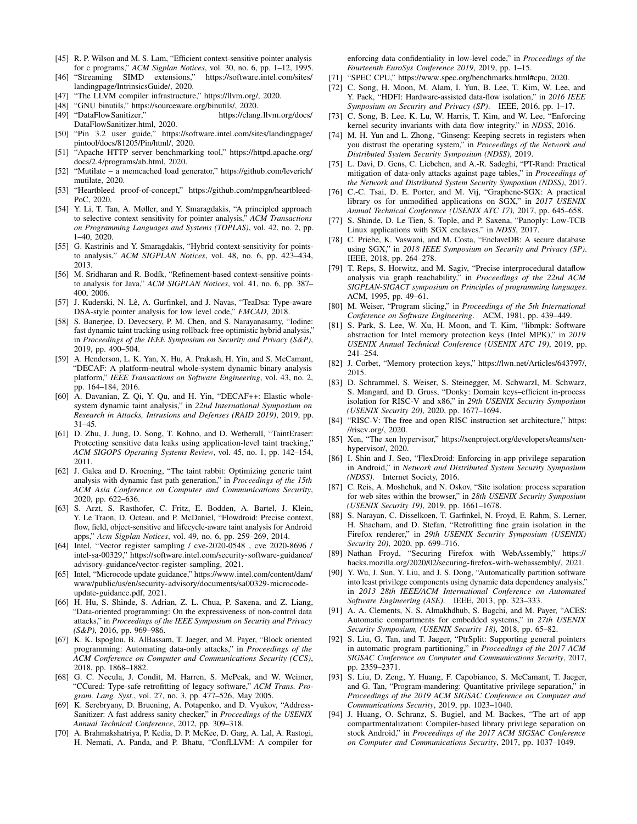- <span id="page-14-0"></span>[45] R. P. Wilson and M. S. Lam, "Efficient context-sensitive pointer analysis for c programs," *ACM Sigplan Notices*, vol. 30, no. 6, pp. 1–12, 1995.
- <span id="page-14-1"></span>[46] "Streaming SIMD extensions," [https://software](https://software.intel.com/sites/landingpage/IntrinsicsGuide/).intel.com/sites/ [landingpage/IntrinsicsGuide/,](https://software.intel.com/sites/landingpage/IntrinsicsGuide/) 2020.
- <span id="page-14-2"></span>[47] "The LLVM compiler infrastructure," [https://llvm](https://llvm.org/).org/, 2020.
- <span id="page-14-3"></span>[48] "GNU binutils," [https://sourceware](https://sourceware.org/binutils/).org/binutils/, 2020.
- <span id="page-14-4"></span>[49] "DataFlowSanitizer," [https://clang](https://clang.llvm.org/docs/DataFlowSanitizer.html).llvm.org/docs/ [DataFlowSanitizer](https://clang.llvm.org/docs/DataFlowSanitizer.html).html, 2020.
- <span id="page-14-5"></span>[50] "Pin 3.2 user guide," https://software.intel.[com/sites/landingpage/](https://software.intel.com/sites/landingpage/pintool/docs/81205/Pin/html/) [pintool/docs/81205/Pin/html/,](https://software.intel.com/sites/landingpage/pintool/docs/81205/Pin/html/) 2020.
- <span id="page-14-6"></span>[51] "Apache HTTP server benchmarking tool," [https://httpd](https://httpd.apache.org/docs/2.4/programs/ab.html).apache.org/ docs/2.[4/programs/ab](https://httpd.apache.org/docs/2.4/programs/ab.html).html, 2020.
- <span id="page-14-7"></span>[52] "Mutilate – a memcached load generator," [https://github](https://github.com/leverich/mutilate).com/leverich/ [mutilate,](https://github.com/leverich/mutilate) 2020.
- <span id="page-14-8"></span>[53] "Heartbleed proof-of-concept," https://github.[com/mpgn/heartbleed-](https://github.com/mpgn/heartbleed-PoC)[PoC,](https://github.com/mpgn/heartbleed-PoC) 2020.
- <span id="page-14-9"></span>[54] Y. Li, T. Tan, A. Møller, and Y. Smaragdakis, "A principled approach to selective context sensitivity for pointer analysis," *ACM Transactions on Programming Languages and Systems (TOPLAS)*, vol. 42, no. 2, pp. 1–40, 2020.
- <span id="page-14-10"></span>[55] G. Kastrinis and Y. Smaragdakis, "Hybrid context-sensitivity for pointsto analysis," *ACM SIGPLAN Notices*, vol. 48, no. 6, pp. 423–434, 2013.
- <span id="page-14-11"></span>[56] M. Sridharan and R. Bodík, "Refinement-based context-sensitive pointsto analysis for Java," *ACM SIGPLAN Notices*, vol. 41, no. 6, pp. 387– 400, 2006.
- <span id="page-14-12"></span>[57] J. Kuderski, N. Lê, A. Gurfinkel, and J. Navas, "TeaDsa: Type-aware DSA-style pointer analysis for low level code," *FMCAD*, 2018.
- <span id="page-14-13"></span>[58] S. Banerjee, D. Devecsery, P. M. Chen, and S. Narayanasamy, "Iodine: fast dynamic taint tracking using rollback-free optimistic hybrid analysis," in *Proceedings of the IEEE Symposium on Security and Privacy (S&P)*, 2019, pp. 490–504.
- <span id="page-14-14"></span>[59] A. Henderson, L. K. Yan, X. Hu, A. Prakash, H. Yin, and S. McCamant, "DECAF: A platform-neutral whole-system dynamic binary analysis platform," *IEEE Transactions on Software Engineering*, vol. 43, no. 2, pp. 164–184, 2016.
- <span id="page-14-15"></span>[60] A. Davanian, Z. Qi, Y. Qu, and H. Yin, "DECAF++: Elastic wholesystem dynamic taint analysis," in *22nd International Symposium on Research in Attacks, Intrusions and Defenses (RAID 2019)*, 2019, pp. 31–45.
- <span id="page-14-16"></span>[61] D. Zhu, J. Jung, D. Song, T. Kohno, and D. Wetherall, "TaintEraser: Protecting sensitive data leaks using application-level taint tracking," *ACM SIGOPS Operating Systems Review*, vol. 45, no. 1, pp. 142–154, 2011.
- <span id="page-14-17"></span>[62] J. Galea and D. Kroening, "The taint rabbit: Optimizing generic taint analysis with dynamic fast path generation," in *Proceedings of the 15th ACM Asia Conference on Computer and Communications Security*, 2020, pp. 622–636.
- <span id="page-14-18"></span>[63] S. Arzt, S. Rasthofer, C. Fritz, E. Bodden, A. Bartel, J. Klein, Y. Le Traon, D. Octeau, and P. McDaniel, "Flowdroid: Precise context, flow, field, object-sensitive and lifecycle-aware taint analysis for Android apps," *Acm Sigplan Notices*, vol. 49, no. 6, pp. 259–269, 2014.
- <span id="page-14-19"></span>[64] Intel, "Vector register sampling / cve-2020-0548, cve 2020-8696 / intel-sa-00329," https://software.intel.[com/security-software-guidance/](https://software.intel.com/security-software-guidance/advisory-guidance/vector-register-sampling) [advisory-guidance/vector-register-sampling,](https://software.intel.com/security-software-guidance/advisory-guidance/vector-register-sampling) 2021.
- <span id="page-14-20"></span>[65] Intel, "Microcode update guidance," https://www.intel.[com/content/dam/](https://www.intel.com/content/dam/www/public/us/en/security-advisory/documents/sa00329-microcode-update-guidance.pdf) [www/public/us/en/security-advisory/documents/sa00329-microcode](https://www.intel.com/content/dam/www/public/us/en/security-advisory/documents/sa00329-microcode-update-guidance.pdf)[update-guidance](https://www.intel.com/content/dam/www/public/us/en/security-advisory/documents/sa00329-microcode-update-guidance.pdf).pdf, 2021.
- <span id="page-14-21"></span>[66] H. Hu, S. Shinde, S. Adrian, Z. L. Chua, P. Saxena, and Z. Liang, "Data-oriented programming: On the expressiveness of non-control data attacks," in *Proceedings of the IEEE Symposium on Security and Privacy (S&P)*, 2016, pp. 969–986.
- <span id="page-14-22"></span>[67] K. K. Ispoglou, B. AlBassam, T. Jaeger, and M. Payer, "Block oriented programming: Automating data-only attacks," in *Proceedings of the ACM Conference on Computer and Communications Security (CCS)*, 2018, pp. 1868–1882.
- <span id="page-14-23"></span>[68] G. C. Necula, J. Condit, M. Harren, S. McPeak, and W. Weimer, "CCured: Type-safe retrofitting of legacy software," *ACM Trans. Program. Lang. Syst.*, vol. 27, no. 3, pp. 477–526, May 2005.
- <span id="page-14-24"></span>[69] K. Serebryany, D. Bruening, A. Potapenko, and D. Vyukov, "Address-Sanitizer: A fast address sanity checker," in *Proceedings of the USENIX Annual Technical Conference*, 2012, pp. 309–318.
- <span id="page-14-25"></span>[70] A. Brahmakshatriya, P. Kedia, D. P. McKee, D. Garg, A. Lal, A. Rastogi, H. Nemati, A. Panda, and P. Bhatu, "ConfLLVM: A compiler for

enforcing data confidentiality in low-level code," in *Proceedings of the Fourteenth EuroSys Conference 2019*, 2019, pp. 1–15.

- <span id="page-14-26"></span>[71] "SPEC CPU," https://www.spec.[org/benchmarks](https://www.spec.org/benchmarks.html#cpu).html#cpu, 2020.
- <span id="page-14-27"></span>[72] C. Song, H. Moon, M. Alam, I. Yun, B. Lee, T. Kim, W. Lee, and Y. Paek, "HDFI: Hardware-assisted data-flow isolation," in *2016 IEEE Symposium on Security and Privacy (SP)*. IEEE, 2016, pp. 1–17.
- <span id="page-14-28"></span>[73] C. Song, B. Lee, K. Lu, W. Harris, T. Kim, and W. Lee, "Enforcing kernel security invariants with data flow integrity." in *NDSS*, 2016.
- <span id="page-14-29"></span>[74] M. H. Yun and L. Zhong, "Ginseng: Keeping secrets in registers when you distrust the operating system," in *Proceedings of the Network and Distributed System Security Symposium (NDSS)*, 2019.
- <span id="page-14-30"></span>[75] L. Davi, D. Gens, C. Liebchen, and A.-R. Sadeghi, "PT-Rand: Practical mitigation of data-only attacks against page tables," in *Proceedings of the Network and Distributed System Security Symposium (NDSS)*, 2017.
- <span id="page-14-31"></span>[76] C.-C. Tsai, D. E. Porter, and M. Vij, "Graphene-SGX: A practical library os for unmodified applications on SGX," in *2017 USENIX Annual Technical Conference (USENIX ATC 17)*, 2017, pp. 645–658.
- <span id="page-14-32"></span>[77] S. Shinde, D. Le Tien, S. Tople, and P. Saxena, "Panoply: Low-TCB Linux applications with SGX enclaves." in *NDSS*, 2017.
- <span id="page-14-33"></span>[78] C. Priebe, K. Vaswani, and M. Costa, "EnclaveDB: A secure database using SGX," in *2018 IEEE Symposium on Security and Privacy (SP)*. IEEE, 2018, pp. 264–278.
- <span id="page-14-34"></span>[79] T. Reps, S. Horwitz, and M. Sagiv, "Precise interprocedural dataflow analysis via graph reachability," in *Proceedings of the 22nd ACM SIGPLAN-SIGACT symposium on Principles of programming languages*. ACM, 1995, pp. 49–61.
- <span id="page-14-35"></span>[80] M. Weiser, "Program slicing," in *Proceedings of the 5th International Conference on Software Engineering*. ACM, 1981, pp. 439–449.
- <span id="page-14-36"></span>[81] S. Park, S. Lee, W. Xu, H. Moon, and T. Kim, "libmpk: Software abstraction for Intel memory protection keys (Intel MPK)," in *2019 USENIX Annual Technical Conference (USENIX ATC 19)*, 2019, pp. 241–254.
- <span id="page-14-37"></span>[82] J. Corbet, "Memory protection keys," https://lwn.[net/Articles/643797/,](https://lwn.net/Articles/643797/) 2015.
- <span id="page-14-38"></span>[83] D. Schrammel, S. Weiser, S. Steinegger, M. Schwarzl, M. Schwarz, S. Mangard, and D. Gruss, "Donky: Domain keys–efficient in-process isolation for RISC-V and x86," in *29th USENIX Security Symposium (USENIX Security 20)*, 2020, pp. 1677–1694.
- <span id="page-14-39"></span>[84] "RISC-V: The free and open RISC instruction set architecture," [https:](https://riscv.org/) [//riscv](https://riscv.org/).org/, 2020.
- <span id="page-14-40"></span>[85] Xen, "The xen hypervisor," https://xenproject.[org/developers/teams/xen](https://xenproject.org/developers/teams/xen-hypervisor/)[hypervisor/,](https://xenproject.org/developers/teams/xen-hypervisor/) 2020.
- <span id="page-14-41"></span>[86] I. Shin and J. Seo, "FlexDroid: Enforcing in-app privilege separation in Android," in *Network and Distributed System Security Symposium (NDSS)*. Internet Society, 2016.
- <span id="page-14-42"></span>[87] C. Reis, A. Moshchuk, and N. Oskov, "Site isolation: process separation for web sites within the browser," in *28th USENIX Security Symposium (USENIX Security 19)*, 2019, pp. 1661–1678.
- <span id="page-14-43"></span>[88] S. Narayan, C. Disselkoen, T. Garfinkel, N. Froyd, E. Rahm, S. Lerner, H. Shacham, and D. Stefan, "Retrofitting fine grain isolation in the Firefox renderer," in *29th USENIX Security Symposium (USENIX) Security 20)*, 2020, pp. 699–716.
- <span id="page-14-44"></span>[89] Nathan Froyd, "Securing Firefox with WebAssembly," [https://](https://hacks.mozilla.org/2020/02/securing-firefox-with-webassembly/) hacks.mozilla.[org/2020/02/securing-firefox-with-webassembly/,](https://hacks.mozilla.org/2020/02/securing-firefox-with-webassembly/) 2021.
- <span id="page-14-45"></span>[90] Y. Wu, J. Sun, Y. Liu, and J. S. Dong, "Automatically partition software into least privilege components using dynamic data dependency analysis,' in *2013 28th IEEE/ACM International Conference on Automated Software Engineering (ASE)*. IEEE, 2013, pp. 323–333.
- <span id="page-14-46"></span>[91] A. A. Clements, N. S. Almakhdhub, S. Bagchi, and M. Payer, "ACES: Automatic compartments for embedded systems," in *27th USENIX Security Symposium, (USENIX Security 18)*, 2018, pp. 65–82.
- <span id="page-14-47"></span>[92] S. Liu, G. Tan, and T. Jaeger, "PtrSplit: Supporting general pointers in automatic program partitioning," in *Proceedings of the 2017 ACM SIGSAC Conference on Computer and Communications Security*, 2017, pp. 2359–2371.
- <span id="page-14-48"></span>[93] S. Liu, D. Zeng, Y. Huang, F. Capobianco, S. McCamant, T. Jaeger, and G. Tan, "Program-mandering: Quantitative privilege separation," in *Proceedings of the 2019 ACM SIGSAC Conference on Computer and Communications Security*, 2019, pp. 1023–1040.
- <span id="page-14-49"></span>[94] J. Huang, O. Schranz, S. Bugiel, and M. Backes, "The art of app compartmentalization: Compiler-based library privilege separation on stock Android," in *Proceedings of the 2017 ACM SIGSAC Conference on Computer and Communications Security*, 2017, pp. 1037–1049.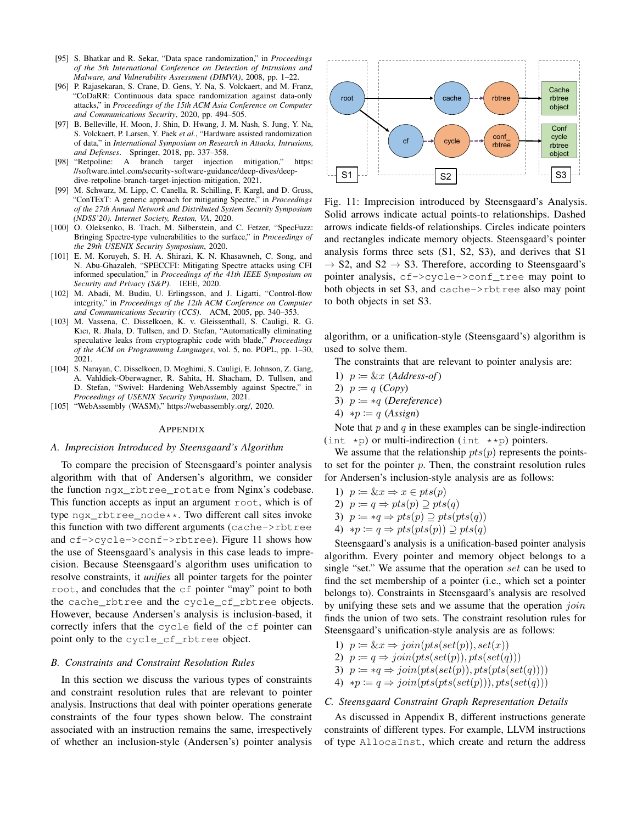- <span id="page-15-3"></span>[95] S. Bhatkar and R. Sekar, "Data space randomization," in *Proceedings of the 5th International Conference on Detection of Intrusions and Malware, and Vulnerability Assessment (DIMVA)*, 2008, pp. 1–22.
- <span id="page-15-4"></span>[96] P. Rajasekaran, S. Crane, D. Gens, Y. Na, S. Volckaert, and M. Franz, "CoDaRR: Continuous data space randomization against data-only attacks," in *Proceedings of the 15th ACM Asia Conference on Computer and Communications Security*, 2020, pp. 494–505.
- <span id="page-15-5"></span>[97] B. Belleville, H. Moon, J. Shin, D. Hwang, J. M. Nash, S. Jung, Y. Na, S. Volckaert, P. Larsen, Y. Paek *et al.*, "Hardware assisted randomization of data," in *International Symposium on Research in Attacks, Intrusions, and Defenses*. Springer, 2018, pp. 337–358.
- <span id="page-15-6"></span>[98] "Retpoline: A branch target injection mitigation," [https:](https://software.intel.com/security-software-guidance/deep-dives/deep-dive-retpoline-branch-target-injection-mitigation) //software.intel.[com/security-software-guidance/deep-dives/deep](https://software.intel.com/security-software-guidance/deep-dives/deep-dive-retpoline-branch-target-injection-mitigation)[dive-retpoline-branch-target-injection-mitigation,](https://software.intel.com/security-software-guidance/deep-dives/deep-dive-retpoline-branch-target-injection-mitigation) 2021.
- <span id="page-15-7"></span>[99] M. Schwarz, M. Lipp, C. Canella, R. Schilling, F. Kargl, and D. Gruss, "ConTExT: A generic approach for mitigating Spectre," in *Proceedings of the 27th Annual Network and Distributed System Security Symposium (NDSS'20). Internet Society, Reston, VA*, 2020.
- <span id="page-15-8"></span>[100] O. Oleksenko, B. Trach, M. Silberstein, and C. Fetzer, "SpecFuzz: Bringing Spectre-type vulnerabilities to the surface," in *Proceedings of the 29th USENIX Security Symposium*, 2020.
- <span id="page-15-9"></span>[101] E. M. Koruyeh, S. H. A. Shirazi, K. N. Khasawneh, C. Song, and N. Abu-Ghazaleh, "SPECCFI: Mitigating Spectre attacks using CFI informed speculation," in *Proceedings of the 41th IEEE Symposium on Security and Privacy (S&P)*. IEEE, 2020.
- <span id="page-15-10"></span>[102] M. Abadi, M. Budiu, U. Erlingsson, and J. Ligatti, "Control-flow integrity," in *Proceedings of the 12th ACM Conference on Computer and Communications Security (CCS)*. ACM, 2005, pp. 340–353.
- <span id="page-15-11"></span>[103] M. Vassena, C. Disselkoen, K. v. Gleissenthall, S. Cauligi, R. G. Kıcı, R. Jhala, D. Tullsen, and D. Stefan, "Automatically eliminating speculative leaks from cryptographic code with blade," *Proceedings of the ACM on Programming Languages*, vol. 5, no. POPL, pp. 1–30, 2021.
- <span id="page-15-12"></span>[104] S. Narayan, C. Disselkoen, D. Moghimi, S. Cauligi, E. Johnson, Z. Gang, A. Vahldiek-Oberwagner, R. Sahita, H. Shacham, D. Tullsen, and D. Stefan, "Swivel: Hardening WebAssembly against Spectre," in *Proceedings of USENIX Security Symposium*, 2021.
- <span id="page-15-13"></span>[105] "WebAssembly (WASM)," [https://webassembly](https://webassembly.org/).org/, 2020.

#### <span id="page-15-0"></span>APPENDIX

## *A. Imprecision Introduced by Steensgaard's Algorithm*

To compare the precision of Steensgaard's pointer analysis algorithm with that of Andersen's algorithm, we consider the function ngx\_rbtree\_rotate from Nginx's codebase. This function accepts as input an argument root, which is of type ngx\_rbtree\_node\*\*. Two different call sites invoke this function with two different arguments (cache->rbtree and cf->cycle->conf->rbtree). Figure [11](#page-15-14) shows how the use of Steensgaard's analysis in this case leads to imprecision. Because Steensgaard's algorithm uses unification to resolve constraints, it *unifies* all pointer targets for the pointer root, and concludes that the cf pointer "may" point to both the cache\_rbtree and the cycle\_cf\_rbtree objects. However, because Andersen's analysis is inclusion-based, it correctly infers that the cycle field of the cf pointer can point only to the cycle\_cf\_rbtree object.

#### <span id="page-15-1"></span>*B. Constraints and Constraint Resolution Rules*

In this section we discuss the various types of constraints and constraint resolution rules that are relevant to pointer analysis. Instructions that deal with pointer operations generate constraints of the four types shown below. The constraint associated with an instruction remains the same, irrespectively of whether an inclusion-style (Andersen's) pointer analysis

<span id="page-15-14"></span>

Fig. 11: Imprecision introduced by Steensgaard's Analysis. Solid arrows indicate actual points-to relationships. Dashed arrows indicate fields-of relationships. Circles indicate pointers and rectangles indicate memory objects. Steensgaard's pointer analysis forms three sets (S1, S2, S3), and derives that S1  $\rightarrow$  S2, and S2  $\rightarrow$  S3. Therefore, according to Steensgaard's pointer analysis, cf->cycle->conf\_tree may point to both objects in set S3, and cache->rbtree also may point to both objects in set S3.

algorithm, or a unification-style (Steensgaard's) algorithm is used to solve them.

The constraints that are relevant to pointer analysis are:

- 1)  $p := \&x \; (Address-of)$
- 2)  $p \coloneqq q \ (Copy)$
- 3) p := ∗q (*Dereference*)
- 4) ∗p := q (*Assign*)

Note that  $p$  and  $q$  in these examples can be single-indirection (int  $\star$ p) or multi-indirection (int  $\star\star$ p) pointers.

We assume that the relationship  $pts(p)$  represents the pointsto set for the pointer  $p$ . Then, the constraint resolution rules for Andersen's inclusion-style analysis are as follows:

- 1)  $p \coloneqq \& x \Rightarrow x \in pts(p)$
- 2)  $p := q \Rightarrow pts(p) \supseteq pts(q)$
- 3)  $p := *q \Rightarrow pts(p) \supseteq pts(pts(q))$
- 4)  $*p := q \Rightarrow pts(pts(p)) \supseteq pts(q)$

Steensgaard's analysis is a unification-based pointer analysis algorithm. Every pointer and memory object belongs to a single "set." We assume that the operation set can be used to find the set membership of a pointer (i.e., which set a pointer belongs to). Constraints in Steensgaard's analysis are resolved by unifying these sets and we assume that the operation  $join$ finds the union of two sets. The constraint resolution rules for Steensgaard's unification-style analysis are as follows:

- 1)  $p \coloneqq \& x \Rightarrow join(pts(set(p)), set(x))$
- 2)  $p \coloneqq q \Rightarrow join(pts(set(p)),pts(set(q)))$
- 3)  $p \coloneqq \mathscr{p} \Rightarrow \text{join}(\text{pts}(\text{set}(p)), \text{pts}(\text{pts}(\text{set}(q))))$
- 4)  $\ast p \coloneqq q \Rightarrow join(pts(pts(self(p))),pts(set(q)))$

#### <span id="page-15-2"></span>*C. Steensgaard Constraint Graph Representation Details*

As discussed in Appendix [B,](#page-15-1) different instructions generate constraints of different types. For example, LLVM instructions of type AllocaInst, which create and return the address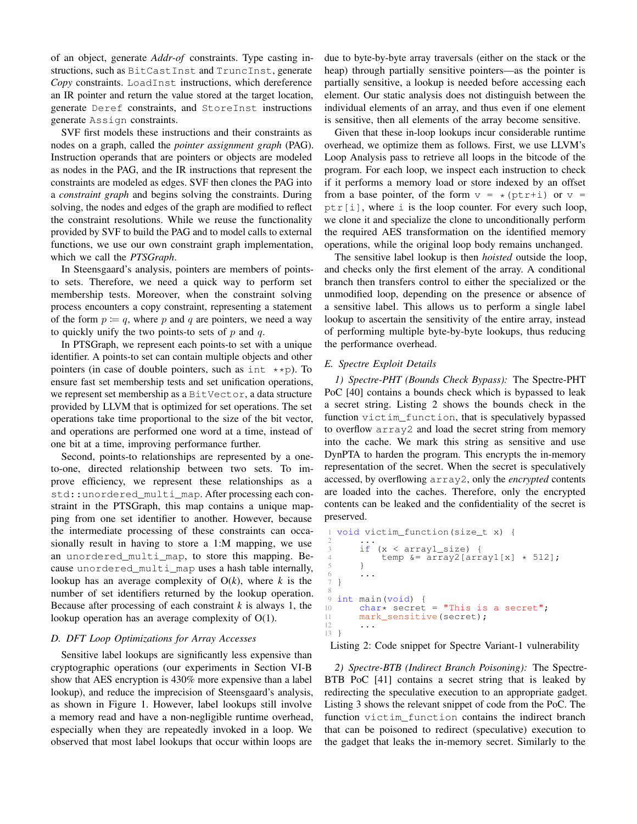of an object, generate *Addr-of* constraints. Type casting instructions, such as BitCastInst and TruncInst, generate *Copy* constraints. LoadInst instructions, which dereference an IR pointer and return the value stored at the target location, generate Deref constraints, and StoreInst instructions generate Assign constraints.

SVF first models these instructions and their constraints as nodes on a graph, called the *pointer assignment graph* (PAG). Instruction operands that are pointers or objects are modeled as nodes in the PAG, and the IR instructions that represent the constraints are modeled as edges. SVF then clones the PAG into a *constraint graph* and begins solving the constraints. During solving, the nodes and edges of the graph are modified to reflect the constraint resolutions. While we reuse the functionality provided by SVF to build the PAG and to model calls to external functions, we use our own constraint graph implementation, which we call the *PTSGraph*.

In Steensgaard's analysis, pointers are members of pointsto sets. Therefore, we need a quick way to perform set membership tests. Moreover, when the constraint solving process encounters a copy constraint, representing a statement of the form  $p := q$ , where p and q are pointers, we need a way to quickly unify the two points-to sets of  $p$  and  $q$ .

In PTSGraph, we represent each points-to set with a unique identifier. A points-to set can contain multiple objects and other pointers (in case of double pointers, such as  $int \times p$ ). To ensure fast set membership tests and set unification operations, we represent set membership as a BitVector, a data structure provided by LLVM that is optimized for set operations. The set operations take time proportional to the size of the bit vector, and operations are performed one word at a time, instead of one bit at a time, improving performance further.

Second, points-to relationships are represented by a oneto-one, directed relationship between two sets. To improve efficiency, we represent these relationships as a std::unordered\_multi\_map. After processing each constraint in the PTSGraph, this map contains a unique mapping from one set identifier to another. However, because the intermediate processing of these constraints can occasionally result in having to store a 1:M mapping, we use an unordered multi map, to store this mapping. Because unordered multi map uses a hash table internally, lookup has an average complexity of O(*k*), where *k* is the number of set identifiers returned by the lookup operation. Because after processing of each constraint  $k$  is always 1, the lookup operation has an average complexity of O(1).

## <span id="page-16-0"></span>*D. DFT Loop Optimizations for Array Accesses*

Sensitive label lookups are significantly less expensive than cryptographic operations (our experiments in Section [VI-B](#page-8-0) show that AES encryption is 430% more expensive than a label lookup), and reduce the imprecision of Steensgaard's analysis, as shown in Figure [1.](#page-3-0) However, label lookups still involve a memory read and have a non-negligible runtime overhead, especially when they are repeatedly invoked in a loop. We observed that most label lookups that occur within loops are

due to byte-by-byte array traversals (either on the stack or the heap) through partially sensitive pointers—as the pointer is partially sensitive, a lookup is needed before accessing each element. Our static analysis does not distinguish between the individual elements of an array, and thus even if one element is sensitive, then all elements of the array become sensitive.

Given that these in-loop lookups incur considerable runtime overhead, we optimize them as follows. First, we use LLVM's Loop Analysis pass to retrieve all loops in the bitcode of the program. For each loop, we inspect each instruction to check if it performs a memory load or store indexed by an offset from a base pointer, of the form  $v = \star$  (ptr+i) or  $v =$  $ptr[i]$ , where i is the loop counter. For every such loop, we clone it and specialize the clone to unconditionally perform the required AES transformation on the identified memory operations, while the original loop body remains unchanged.

The sensitive label lookup is then *hoisted* outside the loop, and checks only the first element of the array. A conditional branch then transfers control to either the specialized or the unmodified loop, depending on the presence or absence of a sensitive label. This allows us to perform a single label lookup to ascertain the sensitivity of the entire array, instead of performing multiple byte-by-byte lookups, thus reducing the performance overhead.

## <span id="page-16-1"></span>*E. Spectre Exploit Details*

*1) Spectre-PHT (Bounds Check Bypass):* The Spectre-PHT PoC [\[40\]](#page-13-39) contains a bounds check which is bypassed to leak a secret string. Listing [2](#page-16-2) shows the bounds check in the function victim function, that is speculatively bypassed to overflow array2 and load the secret string from memory into the cache. We mark this string as sensitive and use DynPTA to harden the program. This encrypts the in-memory representation of the secret. When the secret is speculatively accessed, by overflowing array2, only the *encrypted* contents are loaded into the caches. Therefore, only the encrypted contents can be leaked and the confidentiality of the secret is preserved.

```
void victim_function(size_t x) {
 2 \cdots3 if (x < array1_size) {
              temp \&= array2[array1[x] \star 512];
         \}\begin{array}{ccc} 6 & & \cdots \\ 7 & & \end{array}7 }
\overline{Q}int main(void) {
10 char* secret = "This is a secret";<br>11 mark sensitive (secret);
         mark_sensitive(secret);
12 . . .
13 }
```
Listing 2: Code snippet for Spectre Variant-1 vulnerability

*2) Spectre-BTB (Indirect Branch Poisoning):* The Spectre-BTB PoC [\[41\]](#page-13-40) contains a secret string that is leaked by redirecting the speculative execution to an appropriate gadget. Listing [3](#page-17-2) shows the relevant snippet of code from the PoC. The function victim function contains the indirect branch that can be poisoned to redirect (speculative) execution to the gadget that leaks the in-memory secret. Similarly to the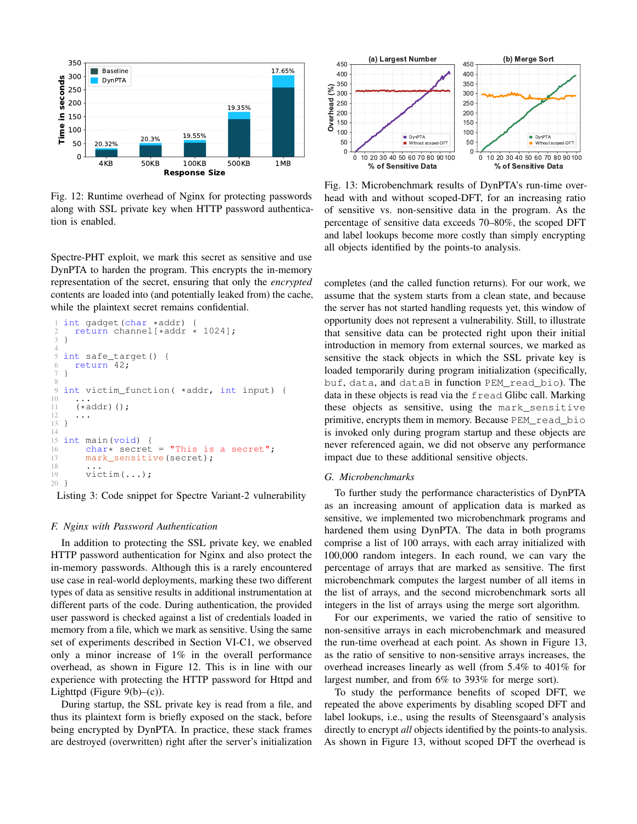<span id="page-17-3"></span>

Fig. 12: Runtime overhead of Nginx for protecting passwords along with SSL private key when HTTP password authentication is enabled.

Spectre-PHT exploit, we mark this secret as sensitive and use DynPTA to harden the program. This encrypts the in-memory representation of the secret, ensuring that only the *encrypted* contents are loaded into (and potentially leaked from) the cache, while the plaintext secret remains confidential.

```
1 int gadget(char *addr)<br>2 return channel[*addr
2 return channel[*addr * 1024];<br>3 }
   3 }
\frac{4}{5}5 int safe_target() {<br>6 return 42:
6 \quad return \qquad 42;7 }
8
   int victim_function( *addr, int input) {
10 ...
11 (*addr)();
   \overline{1} ...
13 }
14
15 int main(void) {
16 char* secret = "This is a secret";<br>17 mark sensitive (secret);
         mark_sensitive(secret);
18 ...
19 victim(...);
20 }
```
Listing 3: Code snippet for Spectre Variant-2 vulnerability

## <span id="page-17-0"></span>*F. Nginx with Password Authentication*

In addition to protecting the SSL private key, we enabled HTTP password authentication for Nginx and also protect the in-memory passwords. Although this is a rarely encountered use case in real-world deployments, marking these two different types of data as sensitive results in additional instrumentation at different parts of the code. During authentication, the provided user password is checked against a list of credentials loaded in memory from a file, which we mark as sensitive. Using the same set of experiments described in Section [VI-C1,](#page-9-1) we observed only a minor increase of 1% in the overall performance overhead, as shown in Figure [12.](#page-17-3) This is in line with our experience with protecting the HTTP password for Httpd and Lighttpd (Figure  $9(b)$ –(c)).

During startup, the SSL private key is read from a file, and thus its plaintext form is briefly exposed on the stack, before being encrypted by DynPTA. In practice, these stack frames are destroyed (overwritten) right after the server's initialization

<span id="page-17-4"></span>

Fig. 13: Microbenchmark results of DynPTA's run-time overhead with and without scoped-DFT, for an increasing ratio of sensitive vs. non-sensitive data in the program. As the percentage of sensitive data exceeds 70–80%, the scoped DFT and label lookups become more costly than simply encrypting all objects identified by the points-to analysis.

completes (and the called function returns). For our work, we assume that the system starts from a clean state, and because the server has not started handling requests yet, this window of opportunity does not represent a vulnerability. Still, to illustrate that sensitive data can be protected right upon their initial introduction in memory from external sources, we marked as sensitive the stack objects in which the SSL private key is loaded temporarily during program initialization (specifically, buf, data, and dataB in function PEM\_read\_bio). The data in these objects is read via the fread Glibc call. Marking these objects as sensitive, using the mark\_sensitive primitive, encrypts them in memory. Because PEM\_read\_bio is invoked only during program startup and these objects are never referenced again, we did not observe any performance impact due to these additional sensitive objects.

#### <span id="page-17-1"></span>*G. Microbenchmarks*

To further study the performance characteristics of DynPTA as an increasing amount of application data is marked as sensitive, we implemented two microbenchmark programs and hardened them using DynPTA. The data in both programs comprise a list of 100 arrays, with each array initialized with 100,000 random integers. In each round, we can vary the percentage of arrays that are marked as sensitive. The first microbenchmark computes the largest number of all items in the list of arrays, and the second microbenchmark sorts all integers in the list of arrays using the merge sort algorithm.

For our experiments, we varied the ratio of sensitive to non-sensitive arrays in each microbenchmark and measured the run-time overhead at each point. As shown in Figure [13,](#page-17-4) as the ratio of sensitive to non-sensitive arrays increases, the overhead increases linearly as well (from 5.4% to 401% for largest number, and from 6% to 393% for merge sort).

To study the performance benefits of scoped DFT, we repeated the above experiments by disabling scoped DFT and label lookups, i.e., using the results of Steensgaard's analysis directly to encrypt *all* objects identified by the points-to analysis. As shown in Figure [13,](#page-17-4) without scoped DFT the overhead is